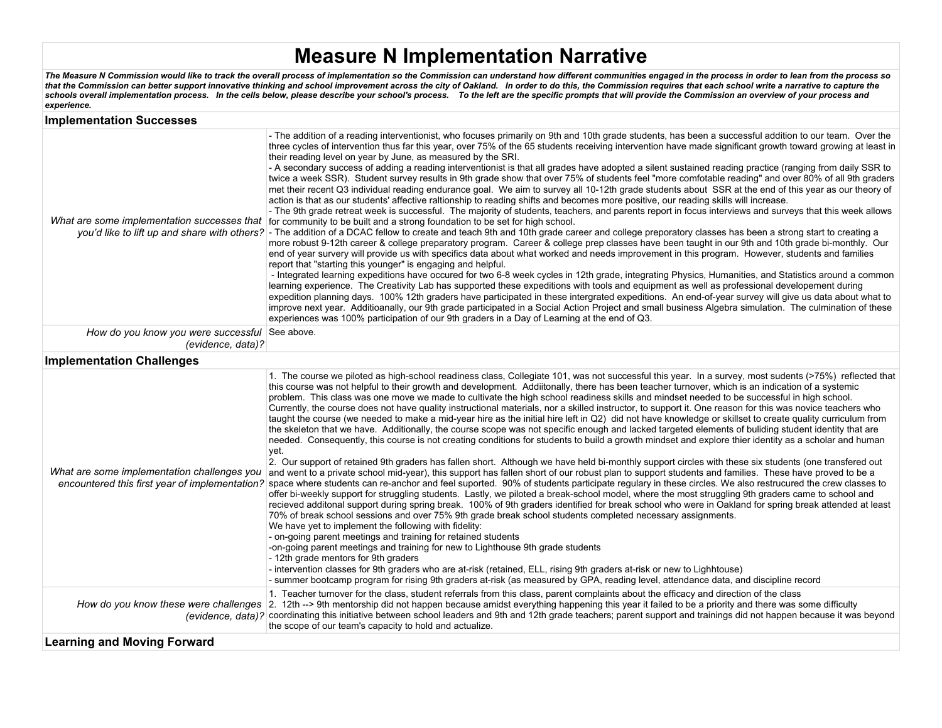## **Measure N Implementation Narrative**

*The Measure N Commission would like to track the overall process of implementation so the Commission can understand how different communities engaged in the process in order to lean from the process so that the Commission can better support innovative thinking and school improvement across the city of Oakland. In order to do this, the Commission requires that each school write a narrative to capture the schools overall implementation process. In the cells below, please describe your school's process. To the left are the specific prompts that will provide the Commission an overview of your process and experience.*

| <b>Implementation Successes</b>                                     |                                                                                                                                                                                                                                                                                                                                                                                                                                                                                                                                                                                                                                                                                                                                                                                                                                                                                                                                                                                                                                                                                                                                                                                                                                                                                                                                                                                                                                                                                                                                                                                                                                                                                                                                                                                                                                                                                                                                                                                                                                                                                                                                                                                                                                                                                                                                                                                                                                                                                                                                                                                                              |  |  |  |  |  |  |
|---------------------------------------------------------------------|--------------------------------------------------------------------------------------------------------------------------------------------------------------------------------------------------------------------------------------------------------------------------------------------------------------------------------------------------------------------------------------------------------------------------------------------------------------------------------------------------------------------------------------------------------------------------------------------------------------------------------------------------------------------------------------------------------------------------------------------------------------------------------------------------------------------------------------------------------------------------------------------------------------------------------------------------------------------------------------------------------------------------------------------------------------------------------------------------------------------------------------------------------------------------------------------------------------------------------------------------------------------------------------------------------------------------------------------------------------------------------------------------------------------------------------------------------------------------------------------------------------------------------------------------------------------------------------------------------------------------------------------------------------------------------------------------------------------------------------------------------------------------------------------------------------------------------------------------------------------------------------------------------------------------------------------------------------------------------------------------------------------------------------------------------------------------------------------------------------------------------------------------------------------------------------------------------------------------------------------------------------------------------------------------------------------------------------------------------------------------------------------------------------------------------------------------------------------------------------------------------------------------------------------------------------------------------------------------------------|--|--|--|--|--|--|
|                                                                     | - The addition of a reading interventionist, who focuses primarily on 9th and 10th grade students, has been a successful addition to our team. Over the<br>three cycles of intervention thus far this year, over 75% of the 65 students receiving intervention have made significant growth toward growing at least in<br>their reading level on year by June, as measured by the SRI.<br>- A secondary success of adding a reading interventionist is that all grades have adopted a silent sustained reading practice (ranging from daily SSR to<br>twice a week SSR). Student survey results in 9th grade show that over 75% of students feel "more comfotable reading" and over 80% of all 9th graders<br>met their recent Q3 individual reading endurance goal. We aim to survey all 10-12th grade students about SSR at the end of this year as our theory of<br>action is that as our students' affective raltionship to reading shifts and becomes more positive, our reading skills will increase.<br>- The 9th grade retreat week is successful. The majority of students, teachers, and parents report in focus interviews and surveys that this week allows<br>What are some implementation successes that for community to be built and a strong foundation to be set for high school.<br>you'd like to lift up and share with others? - The addition of a DCAC fellow to create and teach 9th and 10th grade career and college preporatory classes has been a strong start to creating a<br>more robust 9-12th career & college preparatory program. Career & college prep classes have been taught in our 9th and 10th grade bi-monthly. Our<br>end of year survery will provide us with specifics data about what worked and needs improvement in this program. However, students and families<br>report that "starting this younger" is engaging and helpful.<br>- Integrated learning expeditions have occured for two 6-8 week cycles in 12th grade, integrating Physics, Humanities, and Statistics around a common<br>learning experience. The Creativity Lab has supported these expeditions with tools and equipment as well as professional developement during<br>expedition planning days. 100% 12th graders have participated in these intergrated expeditions. An end-of-year survey will give us data about what to<br>improve next year. Additioanally, our 9th grade participated in a Social Action Project and small business Algebra simulation. The culmination of these<br>experiences was 100% participation of our 9th graders in a Day of Learning at the end of Q3. |  |  |  |  |  |  |
| How do you know you were successful See above.<br>(evidence, data)? |                                                                                                                                                                                                                                                                                                                                                                                                                                                                                                                                                                                                                                                                                                                                                                                                                                                                                                                                                                                                                                                                                                                                                                                                                                                                                                                                                                                                                                                                                                                                                                                                                                                                                                                                                                                                                                                                                                                                                                                                                                                                                                                                                                                                                                                                                                                                                                                                                                                                                                                                                                                                              |  |  |  |  |  |  |
| <b>Implementation Challenges</b>                                    |                                                                                                                                                                                                                                                                                                                                                                                                                                                                                                                                                                                                                                                                                                                                                                                                                                                                                                                                                                                                                                                                                                                                                                                                                                                                                                                                                                                                                                                                                                                                                                                                                                                                                                                                                                                                                                                                                                                                                                                                                                                                                                                                                                                                                                                                                                                                                                                                                                                                                                                                                                                                              |  |  |  |  |  |  |
| What are some implementation challenges you                         | 1. The course we piloted as high-school readiness class, Collegiate 101, was not successful this year. In a survey, most sudents (>75%) reflected that<br>this course was not helpful to their growth and development. Addiitonally, there has been teacher turnover, which is an indication of a systemic<br>problem. This class was one move we made to cultivate the high school readiness skills and mindset needed to be successful in high school.<br>Currently, the course does not have quality instructional materials, nor a skilled instructor, to support it. One reason for this was novice teachers who<br>taught the course (we needed to make a mid-year hire as the initial hire left in Q2) did not have knowledge or skillset to create quality curriculum from<br>the skeleton that we have. Additionally, the course scope was not specific enough and lacked targeted elements of buliding student identity that are<br>needed. Consequently, this course is not creating conditions for students to build a growth mindset and explore thier identity as a scholar and human<br>yet.<br>2. Our support of retained 9th graders has fallen short. Although we have held bi-monthly support circles with these six students (one transfered out<br>and went to a private school mid-year), this support has fallen short of our robust plan to support students and families. These have proved to be a<br>encountered this first year of implementation? space where students can re-anchor and feel suported. 90% of students participate regulary in these circles. We also restrucured the crew classes to<br>offer bi-weekly support for struggling students. Lastly, we piloted a break-school model, where the most struggling 9th graders came to school and<br>recieved additonal support during spring break. 100% of 9th graders identified for break school who were in Oakland for spring break attended at least<br>70% of break school sessions and over 75% 9th grade break school students completed necessary assignments.<br>We have yet to implement the following with fidelity:<br>- on-going parent meetings and training for retained students<br>-on-going parent meetings and training for new to Lighthouse 9th grade students<br>- 12th grade mentors for 9th graders<br>- intervention classes for 9th graders who are at-risk (retained, ELL, rising 9th graders at-risk or new to Lighhtouse)<br>- summer bootcamp program for rising 9th graders at-risk (as measured by GPA, reading level, attendance data, and discipline record                     |  |  |  |  |  |  |
|                                                                     | 1. Teacher turnover for the class, student referrals from this class, parent complaints about the efficacy and direction of the class<br>How do you know these were challenges 2. 12th --> 9th mentorship did not happen because amidst everything happening this year it failed to be a priority and there was some difficulty<br>(evidence, data)? coordinating this initiative between school leaders and 9th and 12th grade teachers; parent support and trainings did not happen because it was beyond<br>the scope of our team's capacity to hold and actualize.                                                                                                                                                                                                                                                                                                                                                                                                                                                                                                                                                                                                                                                                                                                                                                                                                                                                                                                                                                                                                                                                                                                                                                                                                                                                                                                                                                                                                                                                                                                                                                                                                                                                                                                                                                                                                                                                                                                                                                                                                                       |  |  |  |  |  |  |
| <b>Learning and Moving Forward</b>                                  |                                                                                                                                                                                                                                                                                                                                                                                                                                                                                                                                                                                                                                                                                                                                                                                                                                                                                                                                                                                                                                                                                                                                                                                                                                                                                                                                                                                                                                                                                                                                                                                                                                                                                                                                                                                                                                                                                                                                                                                                                                                                                                                                                                                                                                                                                                                                                                                                                                                                                                                                                                                                              |  |  |  |  |  |  |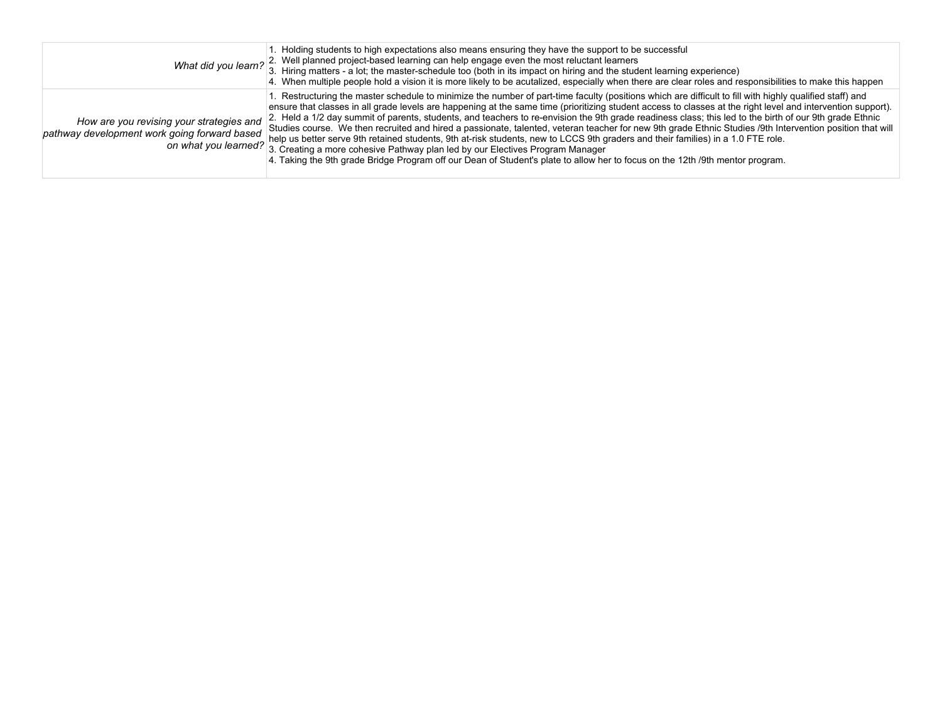|                                                                                          | 1. Holding students to high expectations also means ensuring they have the support to be successful<br>What did you learn? 2. Well planned project-based learning can help engage even the most reluctant learners<br>3. Hiring matters - a lot; the master-schedule too (both in its impact on hiring and the student learning experience)<br>4. When multiple people hold a vision it is more likely to be acutalized, especially when there are clear roles and responsibilities to make this happen                                                                                                                                                                                                                                                                                                                                                                                                                                                                                                                                      |
|------------------------------------------------------------------------------------------|----------------------------------------------------------------------------------------------------------------------------------------------------------------------------------------------------------------------------------------------------------------------------------------------------------------------------------------------------------------------------------------------------------------------------------------------------------------------------------------------------------------------------------------------------------------------------------------------------------------------------------------------------------------------------------------------------------------------------------------------------------------------------------------------------------------------------------------------------------------------------------------------------------------------------------------------------------------------------------------------------------------------------------------------|
| How are you revising your strategies and<br>pathway development work going forward based | 1. Restructuring the master schedule to minimize the number of part-time faculty (positions which are difficult to fill with highly qualified staff) and<br>ensure that classes in all grade levels are happening at the same time (prioritizing student access to classes at the right level and intervention support).<br>2. Held a 1/2 day summit of parents, students, and teachers to re-envision the 9th grade readiness class; this led to the birth of our 9th grade Ethnic<br>Studies course. We then recruited and hired a passionate, talented, veteran teacher for new 9th grade Ethnic Studies /9th Intervention position that will<br>on what you learned? a Creation of more only and the serve 9th retained students, 9th at-risk students, new to LCCS 9th graders and their families) in a 1.0 FTE role.<br>3. Creating a more cohesive Pathway plan led by our Electives Program Manager<br>4. Taking the 9th grade Bridge Program off our Dean of Student's plate to allow her to focus on the 12th /9th mentor program. |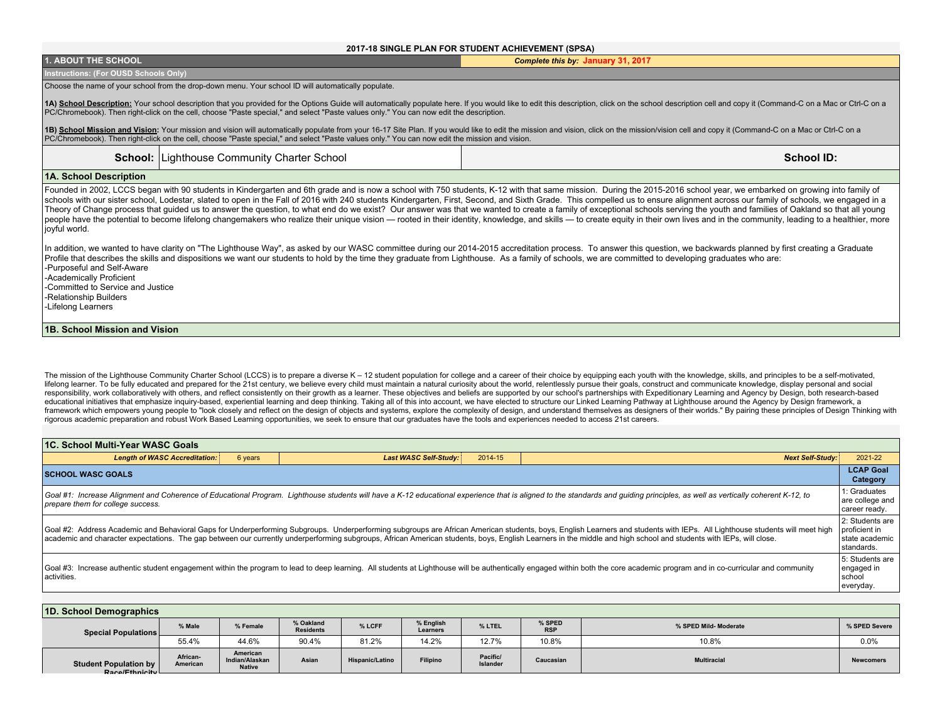## **2017-18 SINGLE PLAN FOR STUDENT ACHIEVEMENT (SPSA)**

| <b>1. ABOUT THE SCHOOL</b>                                                                                                                                                                                                                                                                                                                                                                                                                                                                                                                                                                                                                                                                                                                                                                                                                                                                                                                  | Complete this by: January 31, 2017 |  |  |  |  |  |  |
|---------------------------------------------------------------------------------------------------------------------------------------------------------------------------------------------------------------------------------------------------------------------------------------------------------------------------------------------------------------------------------------------------------------------------------------------------------------------------------------------------------------------------------------------------------------------------------------------------------------------------------------------------------------------------------------------------------------------------------------------------------------------------------------------------------------------------------------------------------------------------------------------------------------------------------------------|------------------------------------|--|--|--|--|--|--|
| Instructions: (For OUSD Schools Only)                                                                                                                                                                                                                                                                                                                                                                                                                                                                                                                                                                                                                                                                                                                                                                                                                                                                                                       |                                    |  |  |  |  |  |  |
| Choose the name of your school from the drop-down menu. Your school ID will automatically populate.                                                                                                                                                                                                                                                                                                                                                                                                                                                                                                                                                                                                                                                                                                                                                                                                                                         |                                    |  |  |  |  |  |  |
| 1A) School Description: Your school description that you provided for the Options Guide will automatically populate here. If you would like to edit this description, click on the school description cell and copy it (Comman<br>PC/Chromebook). Then right-click on the cell, choose "Paste special," and select "Paste values only." You can now edit the description.                                                                                                                                                                                                                                                                                                                                                                                                                                                                                                                                                                   |                                    |  |  |  |  |  |  |
| 1B) School Mission and Vision: Your mission and vision will automatically populate from your 16-17 Site Plan. If you would like to edit the mission and vision, click on the mission/vision cell and copy it (Command-C on a M<br>PC/Chromebook). Then right-click on the cell, choose "Paste special," and select "Paste values only." You can now edit the mission and vision.                                                                                                                                                                                                                                                                                                                                                                                                                                                                                                                                                            |                                    |  |  |  |  |  |  |
| <b>School: Lighthouse Community Charter School</b>                                                                                                                                                                                                                                                                                                                                                                                                                                                                                                                                                                                                                                                                                                                                                                                                                                                                                          | <b>School ID:</b>                  |  |  |  |  |  |  |
| 1A. School Description                                                                                                                                                                                                                                                                                                                                                                                                                                                                                                                                                                                                                                                                                                                                                                                                                                                                                                                      |                                    |  |  |  |  |  |  |
| Founded in 2002, LCCS began with 90 students in Kindergarten and 6th grade and is now a school with 750 students, K-12 with that same mission. During the 2015-2016 school year, we embarked on growing into family of<br>schools with our sister school, Lodestar, slated to open in the Fall of 2016 with 240 students Kindergarten, First, Second, and Sixth Grade. This compelled us to ensure alignment across our family of schools, we engaged in<br>Theory of Change process that guided us to answer the question, to what end do we exist? Our answer was that we wanted to create a family of exceptional schools serving the youth and families of Oakland so that all young<br>people have the potential to become lifelong changemakers who realize their unique vision — rooted in their identity, knowledge, and skills — to create equity in their own lives and in the community, leading to a healthier<br>joyful world. |                                    |  |  |  |  |  |  |
| In addition, we wanted to have clarity on "The Lighthouse Way", as asked by our WASC committee during our 2014-2015 accreditation process. To answer this question, we backwards planned by first creating a Graduate<br>Profile that describes the skills and dispositions we want our students to hold by the time they graduate from Lighthouse. As a family of schools, we are committed to developing graduates who are:<br>-Purposeful and Self-Aware<br>-Academically Proficient<br>-Committed to Service and Justice<br>-Relationship Builders<br>-Lifelong Learners                                                                                                                                                                                                                                                                                                                                                                |                                    |  |  |  |  |  |  |
| 1B. School Mission and Vision                                                                                                                                                                                                                                                                                                                                                                                                                                                                                                                                                                                                                                                                                                                                                                                                                                                                                                               |                                    |  |  |  |  |  |  |

The mission of the Lighthouse Community Charter School (LCCS) is to prepare a diverse K - 12 student population for college and a career of their choice by equipping each youth with the knowledge, skills, and principles to lifelong learner. To be fully educated and prepared for the 21st century, we believe every child must maintain a natural curiosity about the world, relentlessly pursue their goals, construct and communicate knowledge, disp responsibility, work collaboratively with others, and reflect consistently on their growth as a learner. These objectives and beliefs are supported by our school's partnerships with Expeditionary Learning and Agency by Des framework which empowers young people to "look closely and reflect on the design of objects and systems, explore the complexity of design, and understand themselves as designers of their worlds." By pairing these principle rigorous academic preparation and robust Work Based Learning opportunities, we seek to ensure that our graduates have the tools and experiences needed to access 21st careers.

| <b>11C. School Multi-Year WASC Goals</b>                                                                                                                                                                                                                                                                                                                                                                                                                                                                             |                                         |                         |                              |  |  |  |  |  |
|----------------------------------------------------------------------------------------------------------------------------------------------------------------------------------------------------------------------------------------------------------------------------------------------------------------------------------------------------------------------------------------------------------------------------------------------------------------------------------------------------------------------|-----------------------------------------|-------------------------|------------------------------|--|--|--|--|--|
| <b>Length of WASC Accreditation:</b><br>6 years                                                                                                                                                                                                                                                                                                                                                                                                                                                                      | 2014-15<br><b>Last WASC Self-Study:</b> | <b>Next Self-Study:</b> | 2021-22                      |  |  |  |  |  |
| <b>SCHOOL WASC GOALS</b>                                                                                                                                                                                                                                                                                                                                                                                                                                                                                             |                                         |                         | <b>LCAP Goal</b><br>Category |  |  |  |  |  |
| 1: Graduates<br>Goal #1: Increase Alignment and Coherence of Educational Program. Lighthouse students will have a K-12 educational experience that is aligned to the standards and quiding principles, as well as vertically coherent K-12, to<br>are college and<br>prepare them for college success.<br>career ready.                                                                                                                                                                                              |                                         |                         |                              |  |  |  |  |  |
| 2: Students are<br>proficient in<br>Goal #2: Address Academic and Behavioral Gaps for Underperforming Subgroups. Underperforming subgroups are African American students, boys, English Learners and students with IEPs. All Lighthouse students will meet high<br>academic and character expectations. The gap between our currently underperforming subgroups, African American students, boys, English Learners in the middle and high school and students with IEPs, will close.<br>state academic<br>standards. |                                         |                         |                              |  |  |  |  |  |
| 5: Students are<br>Goal #3: Increase authentic student engagement within the program to lead to deep learning. All students at Lighthouse will be authentically engaged within both the core academic program and in co-curricular and community<br>engaged in<br>l activities.<br>school<br>everyday.                                                                                                                                                                                                               |                                         |                         |                              |  |  |  |  |  |

| 1D. School Demographics                        |                      |                                             |                               |                        |                       |                      |                      |                       |                  |
|------------------------------------------------|----------------------|---------------------------------------------|-------------------------------|------------------------|-----------------------|----------------------|----------------------|-----------------------|------------------|
| Special Populations                            | % Male               | % Female                                    | % Oakland<br><b>Residents</b> | % LCFF                 | % English<br>Learners | % LTEL               | % SPED<br><b>RSP</b> | % SPED Mild- Moderate | % SPED Severe    |
|                                                | 55.4%                | 44.6%                                       | 90.4%                         | 81.2%                  | 14.2%                 | 12.7%                | 10.8%                | 10.8%                 | 0.0%             |
| <b>Student Population by</b><br>Race/Ethnicity | African-<br>American | American<br>Indian/Alaskan<br><b>Native</b> | Asian                         | <b>Hispanic/Latino</b> | Filipino              | Pacific/<br>Islander | Caucasian            | <b>Multiracial</b>    | <b>Newcomers</b> |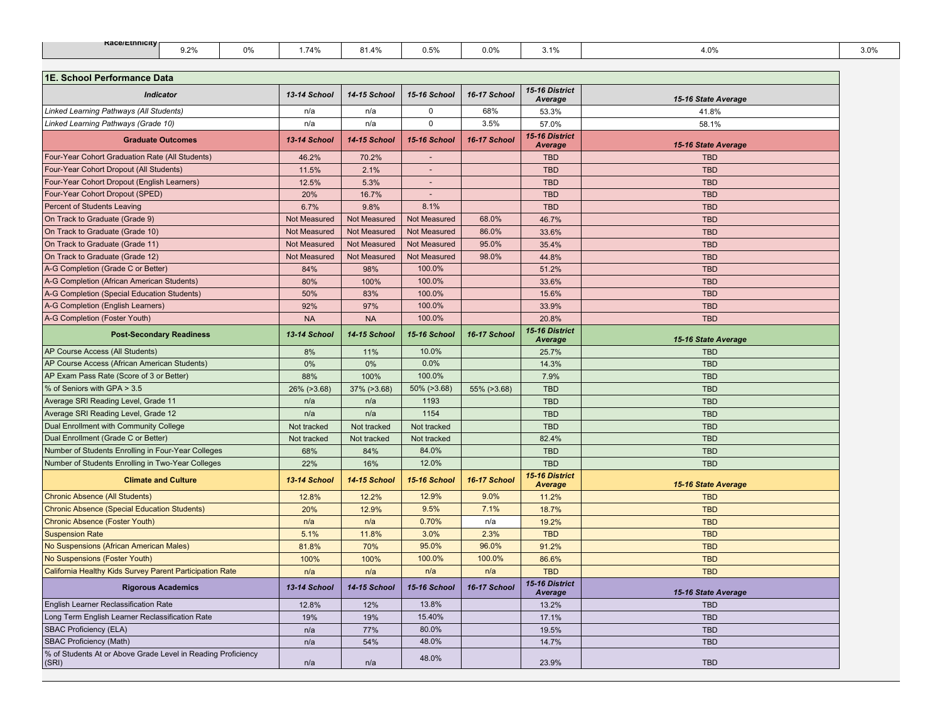| <b>Race/Ethnicity</b> | $\sim$<br>, <u>. .</u> | $0\%$ | .74%<br>. | 01.47 | --<br><b>U.U</b> | 0.0% | $\overline{a}$<br>. . <i>.</i> . | 4.0% | $- - -$<br>3.0% |
|-----------------------|------------------------|-------|-----------|-------|------------------|------|----------------------------------|------|-----------------|
|                       |                        |       |           |       |                  |      |                                  |      |                 |

| 1E. School Performance Data                                           |              |                     |                |              |                                  |                     |
|-----------------------------------------------------------------------|--------------|---------------------|----------------|--------------|----------------------------------|---------------------|
| <b>Indicator</b>                                                      | 13-14 School | 14-15 School        | 15-16 School   | 16-17 School | 15-16 District<br>Average        | 15-16 State Average |
| Linked Learning Pathways (All Students)                               | n/a          | n/a                 | $\pmb{0}$      | 68%          | 53.3%                            | 41.8%               |
| Linked Learning Pathways (Grade 10)                                   | n/a          | n/a                 | $\mathbf 0$    | 3.5%         | 57.0%                            | 58.1%               |
| <b>Graduate Outcomes</b>                                              | 13-14 School | 14-15 School        | 15-16 School   | 16-17 School | 15-16 District<br><b>Average</b> | 15-16 State Average |
| Four-Year Cohort Graduation Rate (All Students)                       | 46.2%        | 70.2%               | $\overline{a}$ |              | <b>TBD</b>                       | <b>TBD</b>          |
| Four-Year Cohort Dropout (All Students)                               | 11.5%        | 2.1%                | $\sim$         |              | <b>TBD</b>                       | <b>TBD</b>          |
| Four-Year Cohort Dropout (English Learners)                           | 12.5%        | 5.3%                | $\sim$         |              | <b>TBD</b>                       | <b>TBD</b>          |
| Four-Year Cohort Dropout (SPED)                                       | 20%          | 16.7%               | $\sim$         |              | <b>TBD</b>                       | <b>TBD</b>          |
| Percent of Students Leaving                                           | 6.7%         | 9.8%                | 8.1%           |              | <b>TBD</b>                       | <b>TBD</b>          |
| On Track to Graduate (Grade 9)                                        | Not Measured | Not Measured        | Not Measured   | 68.0%        | 46.7%                            | <b>TBD</b>          |
| On Track to Graduate (Grade 10)                                       | Not Measured | Not Measured        | Not Measured   | 86.0%        | 33.6%                            | <b>TBD</b>          |
| On Track to Graduate (Grade 11)                                       | Not Measured | Not Measured        | Not Measured   | 95.0%        | 35.4%                            | <b>TBD</b>          |
| On Track to Graduate (Grade 12)                                       | Not Measured | Not Measured        | Not Measured   | 98.0%        | 44.8%                            | <b>TBD</b>          |
| A-G Completion (Grade C or Better)                                    | 84%          | 98%                 | 100.0%         |              | 51.2%                            | <b>TBD</b>          |
| A-G Completion (African American Students)                            | 80%          | 100%                | 100.0%         |              | 33.6%                            | <b>TBD</b>          |
| A-G Completion (Special Education Students)                           | 50%          | 83%                 | 100.0%         |              | 15.6%                            | <b>TBD</b>          |
| A-G Completion (English Learners)                                     | 92%          | 97%                 | 100.0%         |              | 33.9%                            | <b>TBD</b>          |
| A-G Completion (Foster Youth)                                         | <b>NA</b>    | <b>NA</b>           | 100.0%         |              | 20.8%                            | <b>TBD</b>          |
| <b>Post-Secondary Readiness</b>                                       | 13-14 School | <b>14-15 School</b> | 15-16 School   | 16-17 School | 15-16 District<br><b>Average</b> | 15-16 State Average |
| AP Course Access (All Students)                                       | 8%           | 11%                 | 10.0%          |              | 25.7%                            | <b>TBD</b>          |
| AP Course Access (African American Students)                          | 0%           | 0%                  | 0.0%           |              | 14.3%                            | <b>TBD</b>          |
| AP Exam Pass Rate (Score of 3 or Better)                              | 88%          | 100%                | 100.0%         |              | 7.9%                             | <b>TBD</b>          |
| % of Seniors with GPA > 3.5                                           | 26% (>3.68)  | 37% (>3.68)         | 50% (>3.68)    | 55% (>3.68)  | <b>TBD</b>                       | <b>TBD</b>          |
| Average SRI Reading Level, Grade 11                                   | n/a          | n/a                 | 1193           |              | <b>TBD</b>                       | <b>TBD</b>          |
| Average SRI Reading Level, Grade 12                                   | n/a          | n/a                 | 1154           |              | <b>TBD</b>                       | <b>TBD</b>          |
| Dual Enrollment with Community College                                | Not tracked  | Not tracked         | Not tracked    |              | <b>TBD</b>                       | <b>TBD</b>          |
| Dual Enrollment (Grade C or Better)                                   | Not tracked  | Not tracked         | Not tracked    |              | 82.4%                            | <b>TBD</b>          |
| Number of Students Enrolling in Four-Year Colleges                    | 68%          | 84%                 | 84.0%          |              | <b>TBD</b>                       | <b>TBD</b>          |
| Number of Students Enrolling in Two-Year Colleges                     | 22%          | 16%                 | 12.0%          |              | <b>TBD</b>                       | <b>TBD</b>          |
| <b>Climate and Culture</b>                                            | 13-14 School | 14-15 School        | 15-16 School   | 16-17 School | 15-16 District<br><b>Average</b> | 15-16 State Average |
| <b>Chronic Absence (All Students)</b>                                 | 12.8%        | 12.2%               | 12.9%          | 9.0%         | 11.2%                            | <b>TBD</b>          |
| <b>Chronic Absence (Special Education Students)</b>                   | 20%          | 12.9%               | 9.5%           | 7.1%         | 18.7%                            | <b>TBD</b>          |
| <b>Chronic Absence (Foster Youth)</b>                                 | n/a          | n/a                 | 0.70%          | n/a          | 19.2%                            | <b>TBD</b>          |
| <b>Suspension Rate</b>                                                | 5.1%         | 11.8%               | 3.0%           | 2.3%         | <b>TBD</b>                       | <b>TBD</b>          |
| No Suspensions (African American Males)                               | 81.8%        | 70%                 | 95.0%          | 96.0%        | 91.2%                            | <b>TBD</b>          |
| No Suspensions (Foster Youth)                                         | 100%         | 100%                | 100.0%         | 100.0%       | 86.6%                            | <b>TBD</b>          |
| California Healthy Kids Survey Parent Participation Rate              | n/a          | n/a                 | n/a            | n/a          | <b>TBD</b>                       | <b>TBD</b>          |
| <b>Rigorous Academics</b>                                             | 13-14 School | 14-15 School        | 15-16 School   | 16-17 School | 15-16 District<br>Average        | 15-16 State Average |
| English Learner Reclassification Rate                                 | 12.8%        | 12%                 | 13.8%          |              | 13.2%                            | <b>TBD</b>          |
| Long Term English Learner Reclassification Rate                       | 19%          | 19%                 | 15.40%         |              | 17.1%                            | <b>TBD</b>          |
| <b>SBAC Proficiency (ELA)</b>                                         | n/a          | 77%                 | 80.0%          |              | 19.5%                            | <b>TBD</b>          |
| <b>SBAC Proficiency (Math)</b>                                        | n/a          | 54%                 | 48.0%          |              | 14.7%                            | <b>TBD</b>          |
| % of Students At or Above Grade Level in Reading Proficiency<br>(SRI) | n/a          | n/a                 | 48.0%          |              | 23.9%                            | <b>TBD</b>          |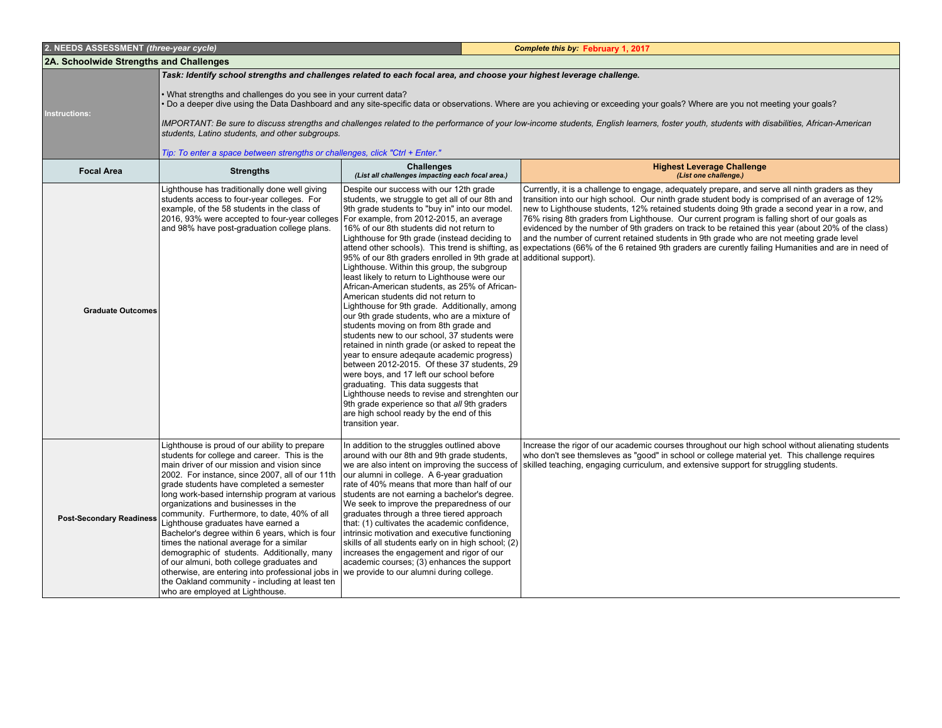| 2. NEEDS ASSESSMENT (three-year cycle)  |                                                                                                                                                                                                                                                                                                                                                                                                                                                                                                                                                                                                                                                                                                                                                               |                                                                                                                                                                                                                                                                                                                                                                                                                                                                                                                                                                                                                                                                                                                                                                                                                                                                                                                                                                                                                                                                                                                                                     | Complete this by: February 1, 2017                                                                                                                                                                                                                                                                                                                                                                                                                                                                                                                                                                                                                                                                                                                           |
|-----------------------------------------|---------------------------------------------------------------------------------------------------------------------------------------------------------------------------------------------------------------------------------------------------------------------------------------------------------------------------------------------------------------------------------------------------------------------------------------------------------------------------------------------------------------------------------------------------------------------------------------------------------------------------------------------------------------------------------------------------------------------------------------------------------------|-----------------------------------------------------------------------------------------------------------------------------------------------------------------------------------------------------------------------------------------------------------------------------------------------------------------------------------------------------------------------------------------------------------------------------------------------------------------------------------------------------------------------------------------------------------------------------------------------------------------------------------------------------------------------------------------------------------------------------------------------------------------------------------------------------------------------------------------------------------------------------------------------------------------------------------------------------------------------------------------------------------------------------------------------------------------------------------------------------------------------------------------------------|--------------------------------------------------------------------------------------------------------------------------------------------------------------------------------------------------------------------------------------------------------------------------------------------------------------------------------------------------------------------------------------------------------------------------------------------------------------------------------------------------------------------------------------------------------------------------------------------------------------------------------------------------------------------------------------------------------------------------------------------------------------|
| 2A. Schoolwide Strengths and Challenges |                                                                                                                                                                                                                                                                                                                                                                                                                                                                                                                                                                                                                                                                                                                                                               |                                                                                                                                                                                                                                                                                                                                                                                                                                                                                                                                                                                                                                                                                                                                                                                                                                                                                                                                                                                                                                                                                                                                                     |                                                                                                                                                                                                                                                                                                                                                                                                                                                                                                                                                                                                                                                                                                                                                              |
|                                         | Task: Identify school strengths and challenges related to each focal area, and choose your highest leverage challenge.                                                                                                                                                                                                                                                                                                                                                                                                                                                                                                                                                                                                                                        |                                                                                                                                                                                                                                                                                                                                                                                                                                                                                                                                                                                                                                                                                                                                                                                                                                                                                                                                                                                                                                                                                                                                                     |                                                                                                                                                                                                                                                                                                                                                                                                                                                                                                                                                                                                                                                                                                                                                              |
| Instructions:                           | • What strengths and challenges do you see in your current data?<br>students, Latino students, and other subgroups.                                                                                                                                                                                                                                                                                                                                                                                                                                                                                                                                                                                                                                           |                                                                                                                                                                                                                                                                                                                                                                                                                                                                                                                                                                                                                                                                                                                                                                                                                                                                                                                                                                                                                                                                                                                                                     | Do a deeper dive using the Data Dashboard and any site-specific data or observations. Where are you achieving or exceeding your goals? Where are you not meeting your goals?<br>IMPORTANT: Be sure to discuss strengths and challenges related to the performance of your low-income students, English learners, foster youth, students with disabilities, African-American                                                                                                                                                                                                                                                                                                                                                                                  |
|                                         | Tip: To enter a space between strengths or challenges, click "Ctrl + Enter."                                                                                                                                                                                                                                                                                                                                                                                                                                                                                                                                                                                                                                                                                  |                                                                                                                                                                                                                                                                                                                                                                                                                                                                                                                                                                                                                                                                                                                                                                                                                                                                                                                                                                                                                                                                                                                                                     |                                                                                                                                                                                                                                                                                                                                                                                                                                                                                                                                                                                                                                                                                                                                                              |
| <b>Focal Area</b>                       | <b>Strengths</b>                                                                                                                                                                                                                                                                                                                                                                                                                                                                                                                                                                                                                                                                                                                                              | <b>Challenges</b><br>(List all challenges impacting each focal area.)                                                                                                                                                                                                                                                                                                                                                                                                                                                                                                                                                                                                                                                                                                                                                                                                                                                                                                                                                                                                                                                                               | <b>Highest Leverage Challenge</b><br>(List one challenge.)                                                                                                                                                                                                                                                                                                                                                                                                                                                                                                                                                                                                                                                                                                   |
| <b>Graduate Outcomes</b>                | Lighthouse has traditionally done well giving<br>students access to four-year colleges. For<br>example, of the 58 students in the class of<br>2016, 93% were accepted to four-year colleges<br>and 98% have post-graduation college plans.                                                                                                                                                                                                                                                                                                                                                                                                                                                                                                                    | Despite our success with our 12th grade<br>students, we struggle to get all of our 8th and<br>9th grade students to "buy in" into our model.<br>For example, from 2012-2015, an average<br>16% of our 8th students did not return to<br>Lighthouse for 9th grade (instead deciding to<br>95% of our 8th graders enrolled in 9th grade at additional support).<br>Lighthouse. Within this group, the subgroup<br>least likely to return to Lighthouse were our<br>African-American students, as 25% of African-<br>American students did not return to<br>Lighthouse for 9th grade. Additionally, among<br>our 9th grade students, who are a mixture of<br>students moving on from 8th grade and<br>students new to our school, 37 students were<br>retained in ninth grade (or asked to repeat the<br>year to ensure adeqaute academic progress)<br>between 2012-2015. Of these 37 students, 29<br>were boys, and 17 left our school before<br>graduating. This data suggests that<br>Lighthouse needs to revise and strenghten our<br>9th grade experience so that all 9th graders<br>are high school ready by the end of this<br>transition year. | Currently, it is a challenge to engage, adequately prepare, and serve all ninth graders as they<br>transition into our high school. Our ninth grade student body is comprised of an average of 12%<br>new to Lighthouse students, 12% retained students doing 9th grade a second year in a row, and<br>76% rising 8th graders from Lighthouse. Our current program is falling short of our goals as<br>evidenced by the number of 9th graders on track to be retained this year (about 20% of the class)<br>and the number of current retained students in 9th grade who are not meeting grade level<br>attend other schools). This trend is shifting, as expectations (66% of the 6 retained 9th graders are curently failing Humanities and are in need of |
| <b>Post-Secondary Readiness</b>         | Lighthouse is proud of our ability to prepare<br>students for college and career. This is the<br>main driver of our mission and vision since<br>2002. For instance, since 2007, all of our 11th<br>grade students have completed a semester<br>long work-based internship program at various<br>organizations and businesses in the<br>community. Furthermore, to date, 40% of all<br>Lighthouse graduates have earned a<br>Bachelor's degree within 6 years, which is four<br>times the national average for a similar<br>demographic of students. Additionally, many<br>of our almuni, both college graduates and<br>otherwise, are entering into professional jobs in<br>the Oakland community - including at least ten<br>who are employed at Lighthouse. | In addition to the struggles outlined above<br>around with our 8th and 9th grade students,<br>we are also intent on improving the success of<br>our alumni in college. A 6-year graduation<br>rate of 40% means that more than half of our<br>students are not earning a bachelor's degree.<br>We seek to improve the preparedness of our<br>graduates through a three tiered approach<br>that: (1) cultivates the academic confidence,<br>intrinsic motivation and executive functioning<br>skills of all students early on in high school; (2)<br>increases the engagement and rigor of our<br>academic courses; (3) enhances the support<br>we provide to our alumni during college.                                                                                                                                                                                                                                                                                                                                                                                                                                                             | Increase the rigor of our academic courses throughout our high school without alienating students<br>who don't see themsleves as "good" in school or college material yet. This challenge requires<br>skilled teaching, engaging curriculum, and extensive support for struggling students.                                                                                                                                                                                                                                                                                                                                                                                                                                                                  |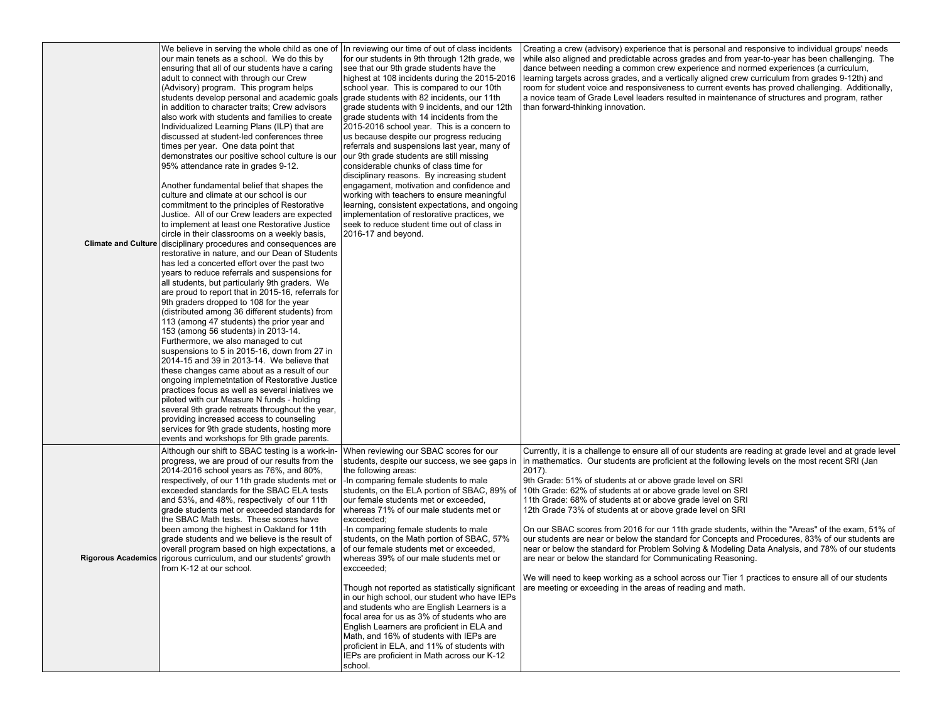| We believe in serving the whole child as one of   In reviewing our time of out of class incidents<br>our main tenets as a school. We do this by<br>ensuring that all of our students have a caring<br>adult to connect with through our Crew<br>(Advisory) program. This program helps<br>students develop personal and academic goals<br>in addition to character traits; Crew advisors<br>also work with students and families to create<br>Individualized Learning Plans (ILP) that are<br>discussed at student-led conferences three<br>times per year. One data point that<br>demonstrates our positive school culture is our<br>95% attendance rate in grades 9-12.<br>Another fundamental belief that shapes the<br>culture and climate at our school is our<br>commitment to the principles of Restorative<br>Justice. All of our Crew leaders are expected<br>to implement at least one Restorative Justice<br>circle in their classrooms on a weekly basis,<br>Climate and Culture disciplinary procedures and consequences are<br>restorative in nature, and our Dean of Students<br>has led a concerted effort over the past two<br>years to reduce referrals and suspensions for<br>all students, but particularly 9th graders. We<br>are proud to report that in 2015-16, referrals for<br>9th graders dropped to 108 for the year<br>(distributed among 36 different students) from<br>113 (among 47 students) the prior year and<br>153 (among 56 students) in 2013-14.<br>Furthermore, we also managed to cut<br>suspensions to 5 in 2015-16, down from 27 in<br>2014-15 and 39 in 2013-14. We believe that<br>these changes came about as a result of our<br>ongoing implemetntation of Restorative Justice<br>practices focus as well as several iniatives we<br>piloted with our Measure N funds - holding<br>several 9th grade retreats throughout the year,<br>providing increased access to counseling | for our students in 9th through 12th grade, we<br>see that our 9th grade students have the<br>highest at 108 incidents during the 2015-2016<br>school year. This is compared to our 10th<br>grade students with 82 incidents, our 11th<br>grade students with 9 incidents, and our 12th<br>grade students with 14 incidents from the<br>2015-2016 school year. This is a concern to<br>us because despite our progress reducing<br>referrals and suspensions last year, many of<br>our 9th grade students are still missing<br>considerable chunks of class time for<br>disciplinary reasons. By increasing student<br>engagament, motivation and confidence and<br>working with teachers to ensure meaningful<br>learning, consistent expectations, and ongoing<br>implementation of restorative practices, we<br>seek to reduce student time out of class in<br>2016-17 and beyond.                   | Creating a crew (advisory) experience that is personal and responsive to individual groups' needs<br>while also aligned and predictable across grades and from year-to-year has been challenging. The<br>dance between needing a common crew experience and normed experiences (a curriculum,<br>learning targets across grades, and a vertically aligned crew curriculum from grades 9-12th) and<br>room for student voice and responsiveness to current events has proved challenging. Additionally,<br>a novice team of Grade Level leaders resulted in maintenance of structures and program, rather<br>than forward-thinking innovation.                                                                                                                                                                                                                                                                                                                                                                                 |
|-------------------------------------------------------------------------------------------------------------------------------------------------------------------------------------------------------------------------------------------------------------------------------------------------------------------------------------------------------------------------------------------------------------------------------------------------------------------------------------------------------------------------------------------------------------------------------------------------------------------------------------------------------------------------------------------------------------------------------------------------------------------------------------------------------------------------------------------------------------------------------------------------------------------------------------------------------------------------------------------------------------------------------------------------------------------------------------------------------------------------------------------------------------------------------------------------------------------------------------------------------------------------------------------------------------------------------------------------------------------------------------------------------------------------------------------------------------------------------------------------------------------------------------------------------------------------------------------------------------------------------------------------------------------------------------------------------------------------------------------------------------------------------------------------------------------------------------------------------------------------------------------------------------------------------|---------------------------------------------------------------------------------------------------------------------------------------------------------------------------------------------------------------------------------------------------------------------------------------------------------------------------------------------------------------------------------------------------------------------------------------------------------------------------------------------------------------------------------------------------------------------------------------------------------------------------------------------------------------------------------------------------------------------------------------------------------------------------------------------------------------------------------------------------------------------------------------------------------|-------------------------------------------------------------------------------------------------------------------------------------------------------------------------------------------------------------------------------------------------------------------------------------------------------------------------------------------------------------------------------------------------------------------------------------------------------------------------------------------------------------------------------------------------------------------------------------------------------------------------------------------------------------------------------------------------------------------------------------------------------------------------------------------------------------------------------------------------------------------------------------------------------------------------------------------------------------------------------------------------------------------------------|
| services for 9th grade students, hosting more<br>events and workshops for 9th grade parents.<br>Although our shift to SBAC testing is a work-in-<br>progress, we are proud of our results from the<br>2014-2016 school years as 76%, and 80%,<br>respectively, of our 11th grade students met or<br>exceeded standards for the SBAC ELA tests<br>and 53%, and 48%, respectively of our 11th<br>grade students met or exceeded standards for<br>the SBAC Math tests. These scores have<br>been among the highest in Oakland for 11th<br>grade students and we believe is the result of<br>overall program based on high expectations, a<br>Rigorous Academics rigorous curriculum, and our students' growth<br>from K-12 at our school.                                                                                                                                                                                                                                                                                                                                                                                                                                                                                                                                                                                                                                                                                                                                                                                                                                                                                                                                                                                                                                                                                                                                                                                        | When reviewing our SBAC scores for our<br>students, despite our success, we see gaps in<br>the following areas:<br>-In comparing female students to male<br>students, on the ELA portion of SBAC, 89% of<br>our female students met or exceeded,<br>whereas 71% of our male students met or<br>excceeded;<br>In comparing female students to male<br>students, on the Math portion of SBAC, 57%<br>of our female students met or exceeded,<br>whereas 39% of our male students met or<br>excceeded;<br>Though not reported as statistically significant<br>in our high school, our student who have IEPs<br>and students who are English Learners is a<br>focal area for us as 3% of students who are<br>English Learners are proficient in ELA and<br>Math, and 16% of students with IEPs are<br>proficient in ELA, and 11% of students with<br>IEPs are proficient in Math across our K-12<br>school. | Currently, it is a challenge to ensure all of our students are reading at grade level and at grade level<br>in mathematics. Our students are proficient at the following levels on the most recent SRI (Jan<br>$2017$ ).<br>9th Grade: 51% of students at or above grade level on SRI<br>10th Grade: 62% of students at or above grade level on SRI<br>11th Grade: 68% of students at or above grade level on SRI<br>12th Grade 73% of students at or above grade level on SRI<br>On our SBAC scores from 2016 for our 11th grade students, within the "Areas" of the exam, 51% of<br>our students are near or below the standard for Concepts and Procedures, 83% of our students are<br>near or below the standard for Problem Solving & Modeling Data Analysis, and 78% of our students<br>are near or below the standard for Communicating Reasoning.<br>We will need to keep working as a school across our Tier 1 practices to ensure all of our students<br>are meeting or exceeding in the areas of reading and math. |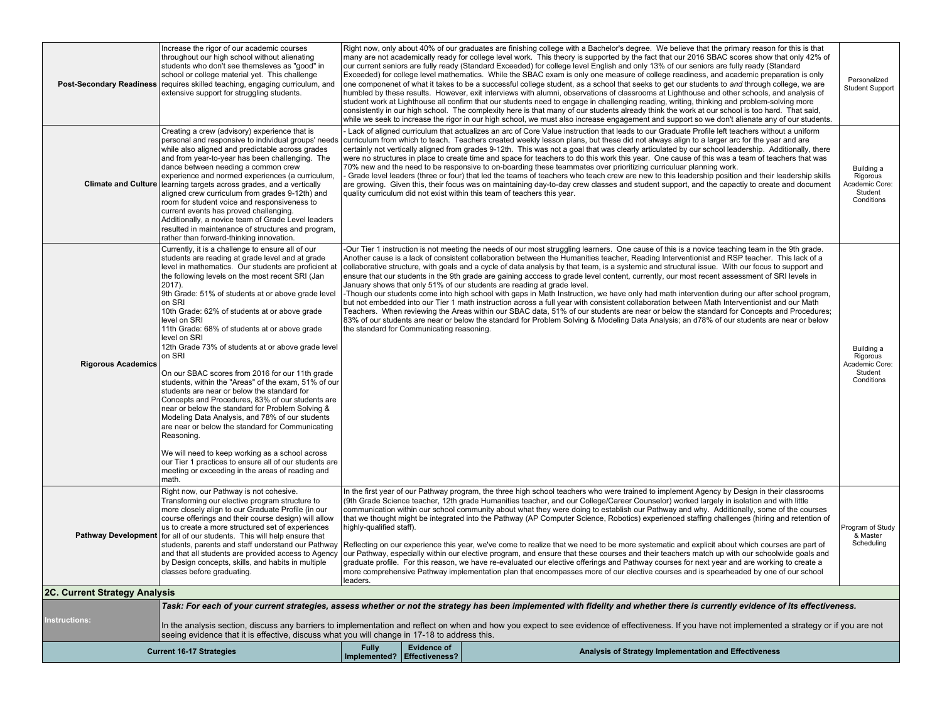|                               | Increase the rigor of our academic courses<br>throughout our high school without alienating<br>students who don't see themsleves as "good" in<br>school or college material yet. This challenge<br>Post-Secondary Readiness requires skilled teaching, engaging curriculum, and<br>extensive support for struggling students.                                                                                                                                                                                                                                                                                                                                                                                                                                                                                                                                                                                                                                                                                                                                     | Right now, only about 40% of our graduates are finishing college with a Bachelor's degree. We believe that the primary reason for this is that<br>many are not academically ready for college level work. This theory is supported by the fact that our 2016 SBAC scores show that only 42% of<br>our current seniors are fully ready (Standard Exceeded) for college level English and only 13% of our seniors are fully ready (Standard<br>Exceeded) for college level mathematics. While the SBAC exam is only one measure of college readiness, and academic preparation is only<br>one componenet of what it takes to be a successful college student, as a school that seeks to get our students to and through college, we are<br>Student Support<br>humbled by these results. However, exit interviews with alumni, observations of classrooms at Lighthouse and other schools, and analysis of<br>student work at Lighthouse all confirm that our students need to engage in challenging reading, writing, thinking and problem-solving more<br>consistently in our high school. The complexity here is that many of our students already think the work at our school is too hard. That said,<br>while we seek to increase the rigor in our high school, we must also increase engagement and support so we don't alienate any of our students. |                                                   |                                                                                                                                                                                                   |  |  |  |  |
|-------------------------------|-------------------------------------------------------------------------------------------------------------------------------------------------------------------------------------------------------------------------------------------------------------------------------------------------------------------------------------------------------------------------------------------------------------------------------------------------------------------------------------------------------------------------------------------------------------------------------------------------------------------------------------------------------------------------------------------------------------------------------------------------------------------------------------------------------------------------------------------------------------------------------------------------------------------------------------------------------------------------------------------------------------------------------------------------------------------|-----------------------------------------------------------------------------------------------------------------------------------------------------------------------------------------------------------------------------------------------------------------------------------------------------------------------------------------------------------------------------------------------------------------------------------------------------------------------------------------------------------------------------------------------------------------------------------------------------------------------------------------------------------------------------------------------------------------------------------------------------------------------------------------------------------------------------------------------------------------------------------------------------------------------------------------------------------------------------------------------------------------------------------------------------------------------------------------------------------------------------------------------------------------------------------------------------------------------------------------------------------------------------------------------------------------------------------------------------------|---------------------------------------------------|---------------------------------------------------------------------------------------------------------------------------------------------------------------------------------------------------|--|--|--|--|
|                               | Creating a crew (advisory) experience that is<br>personal and responsive to individual groups' needs<br>while also aligned and predictable across grades<br>and from year-to-year has been challenging. The<br>dance between needing a common crew<br>experience and normed experiences (a curriculum,<br><b>Climate and Culture</b> learning targets across grades, and a vertically<br>aligned crew curriculum from grades 9-12th) and<br>room for student voice and responsiveness to<br>current events has proved challenging.<br>Additionally, a novice team of Grade Level leaders<br>resulted in maintenance of structures and program,<br>rather than forward-thinking innovation.                                                                                                                                                                                                                                                                                                                                                                        | Lack of aligned curriculum that actualizes an arc of Core Value instruction that leads to our Graduate Profile left teachers without a uniform<br>curriculum from which to teach. Teachers created weekly lesson plans, but these did not always align to a larger arc for the year and are<br>certainly not vertically aligned from grades 9-12th. This was not a goal that was clearly articulated by our school leadership. Additionally, there<br>were no structures in place to create time and space for teachers to do this work this year. One cause of this was a team of teachers that was<br>70% new and the need to be responsive to on-boarding these teammates over prioritizing curriculuar planning work.<br>Grade level leaders (three or four) that led the teams of teachers who teach crew are new to this leadership position and their leadership skills<br>are growing. Given this, their focus was on maintaining day-to-day crew classes and student support, and the capactiy to create and document<br>quality curriculum did not exist within this team of teachers this year.                                                                                                                                                                                                                                                |                                                   |                                                                                                                                                                                                   |  |  |  |  |
| <b>Rigorous Academics</b>     | Currently, it is a challenge to ensure all of our<br>students are reading at grade level and at grade<br>level in mathematics. Our students are proficient at<br>the following levels on the most recent SRI (Jan<br>$2017$ ).<br>9th Grade: 51% of students at or above grade level<br>on SRI<br>10th Grade: 62% of students at or above grade<br>level on SRI<br>11th Grade: 68% of students at or above grade<br>level on SRI<br>12th Grade 73% of students at or above grade level<br>on SRI<br>On our SBAC scores from 2016 for our 11th grade<br>students, within the "Areas" of the exam, 51% of our<br>students are near or below the standard for<br>Concepts and Procedures, 83% of our students are<br>near or below the standard for Problem Solving &<br>Modeling Data Analysis, and 78% of our students<br>are near or below the standard for Communicating<br>Reasoning.<br>We will need to keep working as a school across<br>our Tier 1 practices to ensure all of our students are<br>meeting or exceeding in the areas of reading and<br>math. | -Our Tier 1 instruction is not meeting the needs of our most struggling learners. One cause of this is a novice teaching team in the 9th grade.<br>Another cause is a lack of consistent collaboration between the Humanities teacher, Reading Interventionist and RSP teacher. This lack of a<br>collaborative structure, with goals and a cycle of data analysis by that team, is a systemic and structural issue. With our focus to support and<br>ensure that our students in the 9th grade are gaining acccess to grade level content, currently, our most recent assessment of SRI levels in<br>January shows that only 51% of our students are reading at grade level.<br>Though our students come into high school with gaps in Math Instruction, we have only had math intervention during our after school program,<br>but not embedded into our Tier 1 math instruction across a full year with consistent collaboration between Math Interventionist and our Math<br>Teachers. When reviewing the Areas within our SBAC data, 51% of our students are near or below the standard for Concepts and Procedures;<br>83% of our students are near or below the standard for Problem Solving & Modeling Data Analysis; an d78% of our students are near or below<br>the standard for Communicating reasoning.                                      |                                                   |                                                                                                                                                                                                   |  |  |  |  |
|                               | Right now, our Pathway is not cohesive.<br>Transforming our elective program structure to<br>more closely align to our Graduate Profile (in our<br>course offerings and their course design) will allow<br>us to create a more structured set of experiences<br><b>Pathway Development</b> for all of our students. This will help ensure that<br>students, parents and staff understand our Pathway<br>and that all students are provided access to Agency<br>by Design concepts, skills, and habits in multiple<br>classes before graduating.                                                                                                                                                                                                                                                                                                                                                                                                                                                                                                                   | In the first year of our Pathway program, the three high school teachers who were trained to implement Agency by Design in their classrooms<br>(9th Grade Science teacher, 12th grade Humanities teacher, and our College/Career Counselor) worked largely in isolation and with little<br>communication within our school community about what they were doing to establish our Pathway and why. Additionally, some of the courses<br>that we thought might be integrated into the Pathway (AP Computer Science, Robotics) experienced staffing challenges (hiring and retention of<br>highly-qualified staff).<br>Program of Study<br>Reflecting on our experience this year, we've come to realize that we need to be more systematic and explicit about which courses are part of<br>our Pathway, especially within our elective program, and ensure that these courses and their teachers match up with our schoolwide goals and<br>graduate profile. For this reason, we have re-evaluated our elective offerings and Pathway courses for next year and are working to create a<br>more comprehensive Pathway implementation plan that encompasses more of our elective courses and is spearheaded by one of our school<br>leaders.                                                                                                                 |                                                   |                                                                                                                                                                                                   |  |  |  |  |
| 2C. Current Strategy Analysis |                                                                                                                                                                                                                                                                                                                                                                                                                                                                                                                                                                                                                                                                                                                                                                                                                                                                                                                                                                                                                                                                   |                                                                                                                                                                                                                                                                                                                                                                                                                                                                                                                                                                                                                                                                                                                                                                                                                                                                                                                                                                                                                                                                                                                                                                                                                                                                                                                                                           |                                                   |                                                                                                                                                                                                   |  |  |  |  |
|                               |                                                                                                                                                                                                                                                                                                                                                                                                                                                                                                                                                                                                                                                                                                                                                                                                                                                                                                                                                                                                                                                                   |                                                                                                                                                                                                                                                                                                                                                                                                                                                                                                                                                                                                                                                                                                                                                                                                                                                                                                                                                                                                                                                                                                                                                                                                                                                                                                                                                           |                                                   | Task: For each of your current strategies, assess whether or not the strategy has been implemented with fidelity and whether there is currently evidence of its effectiveness.                    |  |  |  |  |
| <b>Instructions:</b>          | seeing evidence that it is effective, discuss what you will change in 17-18 to address this.                                                                                                                                                                                                                                                                                                                                                                                                                                                                                                                                                                                                                                                                                                                                                                                                                                                                                                                                                                      |                                                                                                                                                                                                                                                                                                                                                                                                                                                                                                                                                                                                                                                                                                                                                                                                                                                                                                                                                                                                                                                                                                                                                                                                                                                                                                                                                           |                                                   | In the analysis section, discuss any barriers to implementation and reflect on when and how you expect to see evidence of effectiveness. If you have not implemented a strategy or if you are not |  |  |  |  |
|                               | <b>Current 16-17 Strategies</b>                                                                                                                                                                                                                                                                                                                                                                                                                                                                                                                                                                                                                                                                                                                                                                                                                                                                                                                                                                                                                                   | <b>Fully</b>                                                                                                                                                                                                                                                                                                                                                                                                                                                                                                                                                                                                                                                                                                                                                                                                                                                                                                                                                                                                                                                                                                                                                                                                                                                                                                                                              | <b>Evidence of</b><br>Implemented? Effectiveness? | Analysis of Strategy Implementation and Effectiveness                                                                                                                                             |  |  |  |  |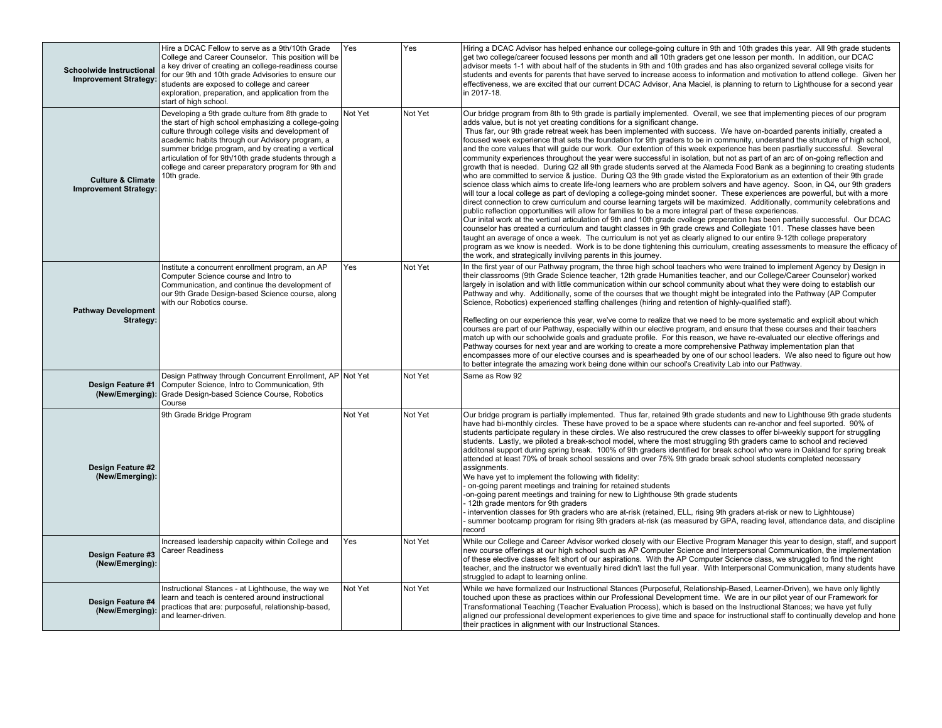| <b>Schoolwide Instructional</b><br><b>Improvement Strategy:</b> | Hire a DCAC Fellow to serve as a 9th/10th Grade<br>College and Career Counselor. This position will be<br>a key driver of creating an college-readiness course<br>for our 9th and 10th grade Advisories to ensure our<br>students are exposed to college and career<br>exploration, preparation, and application from the<br>start of high school.                                                  | Yes     | Yes     | Hiring a DCAC Advisor has helped enhance our college-going culture in 9th and 10th grades this year. All 9th grade students<br>get two college/career focused lessons per month and all 10th graders get one lesson per month. In addition, our DCAC<br>advisor meets 1-1 with about half of the students in 9th and 10th grades and has also organized several college visits for<br>students and events for parents that have served to increase access to information and motivation to attend college. Given her<br>effectiveness, we are excited that our current DCAC Advisor, Ana Maciel, is planning to return to Lighthouse for a second year<br>in 2017-18.                                                                                                                                                                                                                                                                                                                                                                                                                                                                                                                                                                                                                                                                                                                                                                                                                                                                                                                                                                                                                                                                                                                                                                                                                                                                                                                                                                                                                               |
|-----------------------------------------------------------------|-----------------------------------------------------------------------------------------------------------------------------------------------------------------------------------------------------------------------------------------------------------------------------------------------------------------------------------------------------------------------------------------------------|---------|---------|-----------------------------------------------------------------------------------------------------------------------------------------------------------------------------------------------------------------------------------------------------------------------------------------------------------------------------------------------------------------------------------------------------------------------------------------------------------------------------------------------------------------------------------------------------------------------------------------------------------------------------------------------------------------------------------------------------------------------------------------------------------------------------------------------------------------------------------------------------------------------------------------------------------------------------------------------------------------------------------------------------------------------------------------------------------------------------------------------------------------------------------------------------------------------------------------------------------------------------------------------------------------------------------------------------------------------------------------------------------------------------------------------------------------------------------------------------------------------------------------------------------------------------------------------------------------------------------------------------------------------------------------------------------------------------------------------------------------------------------------------------------------------------------------------------------------------------------------------------------------------------------------------------------------------------------------------------------------------------------------------------------------------------------------------------------------------------------------------------|
| <b>Culture &amp; Climate</b><br><b>Improvement Strategy:</b>    | Developing a 9th grade culture from 8th grade to<br>the start of high school emphasizing a college-going<br>culture through college visits and development of<br>academic habits through our Advisory program, a<br>summer bridge program, and by creating a vertical<br>articulation of for 9th/10th grade students through a<br>college and career preparatory program for 9th and<br>10th grade. | Not Yet | Not Yet | Our bridge program from 8th to 9th grade is partially implemented. Overall, we see that implementing pieces of our program<br>adds value, but is not yet creating conditions for a significant change.<br>Thus far, our 9th grade retreat week has been implemented with success. We have on-boarded parents initially, created a<br>focused week experience that sets the foundation for 9th graders to be in community, understand the structure of high school,<br>and the core values that will quide our work. Our extention of this week experience has been pasrtially successful. Several<br>community experiences throughout the year were successful in isolation, but not as part of an arc of on-going reflection and<br>growth that is needed. During Q2 all 9th grade students served at the Alameda Food Bank as a beginning to creating students<br>who are committed to service & justice. During Q3 the 9th grade visted the Exploratorium as an extention of their 9th grade<br>science class which aims to create life-long learners who are problem solvers and have agency. Soon, in Q4, our 9th graders<br>will tour a local college as part of devloping a college-going mindet sooner. These experiences are powerful, but with a more<br>direct connection to crew curriculum and course learning targets will be maximized. Additionally, community celebrations and<br>public reflection opportunities will allow for families to be a more integral part of these experiences.<br>Our inital work at the vertical articulation of 9th and 10th grade cvollege preperation has been partailly successful. Our DCAC<br>counselor has created a curriculum and taught classes in 9th grade crews and Collegiate 101. These classes have been<br>taught an average of once a week. The curriculum is not yet as clearly aligned to our entire 9-12th college preperatory<br>program as we know is needed. Work is to be done tightening this curriculum, creating assessments to measure the efficacy of<br>the work, and strategically invilving parents in this journey. |
| <b>Pathway Development</b><br>Strategy:                         | Institute a concurrent enrollment program, an AP<br>Computer Science course and Intro to<br>Communication, and continue the development of<br>our 9th Grade Design-based Science course, along<br>with our Robotics course.                                                                                                                                                                         | Yes     | Not Yet | In the first year of our Pathway program, the three high school teachers who were trained to implement Agency by Design in<br>their classrooms (9th Grade Science teacher, 12th grade Humanities teacher, and our College/Career Counselor) worked<br>largely in isolation and with little communication within our school community about what they were doing to establish our<br>Pathway and why. Additionally, some of the courses that we thought might be integrated into the Pathway (AP Computer<br>Science, Robotics) experienced staffing challenges (hiring and retention of highly-qualified staff).<br>Reflecting on our experience this year, we've come to realize that we need to be more systematic and explicit about which<br>courses are part of our Pathway, especially within our elective program, and ensure that these courses and their teachers<br>match up with our schoolwide goals and graduate profile. For this reason, we have re-evaluated our elective offerings and<br>Pathway courses for next year and are working to create a more comprehensive Pathway implementation plan that<br>encompasses more of our elective courses and is spearheaded by one of our school leaders. We also need to figure out how<br>to better integrate the amazing work being done within our school's Creativity Lab into our Pathway.                                                                                                                                                                                                                                                                                                                                                                                                                                                                                                                                                                                                                                                                                                                                        |
| Design Feature #1<br>(New/Emerging):                            | Design Pathway through Concurrent Enrollment, AP Not Yet<br>Computer Science, Intro to Communication, 9th<br>Grade Design-based Science Course, Robotics<br>Course                                                                                                                                                                                                                                  |         | Not Yet | Same as Row 92                                                                                                                                                                                                                                                                                                                                                                                                                                                                                                                                                                                                                                                                                                                                                                                                                                                                                                                                                                                                                                                                                                                                                                                                                                                                                                                                                                                                                                                                                                                                                                                                                                                                                                                                                                                                                                                                                                                                                                                                                                                                                      |
| Design Feature #2<br>(New/Emerging):                            | 9th Grade Bridge Program                                                                                                                                                                                                                                                                                                                                                                            | Not Yet | Not Yet | Our bridge program is partially implemented. Thus far, retained 9th grade students and new to Lighthouse 9th grade students<br>have had bi-monthly circles. These have proved to be a space where students can re-anchor and feel suported. 90% of<br>students participate regulary in these circles. We also restrucured the crew classes to offer bi-weekly support for struggling<br>students. Lastly, we piloted a break-school model, where the most struggling 9th graders came to school and recieved<br>additonal support during spring break. 100% of 9th graders identified for break school who were in Oakland for spring break<br>attended at least 70% of break school sessions and over 75% 9th grade break school students completed necessary<br>assignments.<br>We have yet to implement the following with fidelity:<br>- on-going parent meetings and training for retained students<br>-on-going parent meetings and training for new to Lighthouse 9th grade students<br>12th grade mentors for 9th graders<br>intervention classes for 9th graders who are at-risk (retained, ELL, rising 9th graders at-risk or new to Lighhtouse)<br>summer bootcamp program for rising 9th graders at-risk (as measured by GPA, reading level, attendance data, and discipline<br>record                                                                                                                                                                                                                                                                                                                                                                                                                                                                                                                                                                                                                                                                                                                                                                                                  |
| Design Feature #3<br>(New/Emerging):                            | Increased leadership capacity within College and<br><b>Career Readiness</b>                                                                                                                                                                                                                                                                                                                         | Yes     | Not Yet | While our College and Career Advisor worked closely with our Elective Program Manager this year to design, staff, and support<br>new course offerings at our high school such as AP Computer Science and Interpersonal Communication, the implementation<br>of these elective classes felt short of our aspirations. With the AP Computer Science class, we struggled to find the right<br>teacher, and the instructor we eventually hired didn't last the full year. With Interpersonal Communication, many students have<br>struggled to adapt to learning online.                                                                                                                                                                                                                                                                                                                                                                                                                                                                                                                                                                                                                                                                                                                                                                                                                                                                                                                                                                                                                                                                                                                                                                                                                                                                                                                                                                                                                                                                                                                                |
| Design Feature #4<br>(New/Emerging):                            | Instructional Stances - at Lighthouse, the way we<br>learn and teach is centered around instructional<br>practices that are: purposeful, relationship-based,<br>and learner-driven.                                                                                                                                                                                                                 | Not Yet | Not Yet | While we have formalized our Instructional Stances (Purposeful, Relationship-Based, Learner-Driven), we have only lightly<br>touched upon these as practices within our Professional Development time. We are in our pilot year of our Framework for<br>Transformational Teaching (Teacher Evaluation Process), which is based on the Instructional Stances; we have yet fully<br>aligned our professional development experiences to give time and space for instructional staff to continually develop and hone<br>their practices in alignment with our Instructional Stances.                                                                                                                                                                                                                                                                                                                                                                                                                                                                                                                                                                                                                                                                                                                                                                                                                                                                                                                                                                                                                                                                                                                                                                                                                                                                                                                                                                                                                                                                                                                   |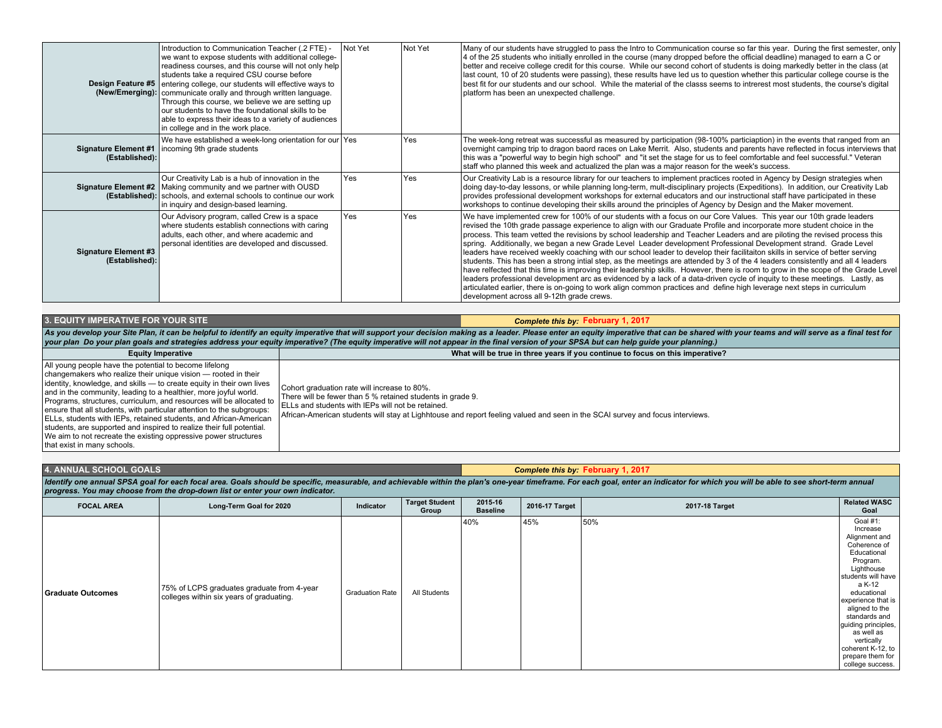|                                               | Introduction to Communication Teacher (.2 FTE) -<br>we want to expose students with additional college-<br>readiness courses, and this course will not only help<br>students take a required CSU course before<br>Design Feature #5 entering college, our students will effective ways to<br>(New/Emerging): communicate orally and through written language.<br>Through this course, we believe we are setting up<br>our students to have the foundational skills to be<br>able to express their ideas to a variety of audiences<br>in college and in the work place. | Not Yet | Not Yet | Many of our students have struggled to pass the Intro to Communication course so far this year. During the first semester, only<br>4 of the 25 students who initially enrolled in the course (many dropped before the official deadline) managed to earn a C or<br>better and receive college credit for this course. While our second cohort of students is doing markedly better in the class (at<br>last count, 10 of 20 students were passing), these results have led us to question whether this particular college course is the<br>best fit for our students and our school. While the material of the classs seems to intrerest most students, the course's digital<br>platform has been an unexpected challenge.                                                                                                                                                                                                                                                                                                                                                                                                                                                                                          |
|-----------------------------------------------|------------------------------------------------------------------------------------------------------------------------------------------------------------------------------------------------------------------------------------------------------------------------------------------------------------------------------------------------------------------------------------------------------------------------------------------------------------------------------------------------------------------------------------------------------------------------|---------|---------|---------------------------------------------------------------------------------------------------------------------------------------------------------------------------------------------------------------------------------------------------------------------------------------------------------------------------------------------------------------------------------------------------------------------------------------------------------------------------------------------------------------------------------------------------------------------------------------------------------------------------------------------------------------------------------------------------------------------------------------------------------------------------------------------------------------------------------------------------------------------------------------------------------------------------------------------------------------------------------------------------------------------------------------------------------------------------------------------------------------------------------------------------------------------------------------------------------------------|
| (Established):                                | We have established a week-long orientation for our Yes<br>Signature Element #1   incoming 9th grade students                                                                                                                                                                                                                                                                                                                                                                                                                                                          |         | Yes     | The week-long retreat was successful as measured by participation (98-100% particiaption) in the events that ranged from an<br>overnight camping trip to dragon baord races on Lake Merrit. Also, students and parents have reflected in focus interviews that<br>this was a "powerful way to begin high school" and "it set the stage for us to feel comfortable and feel successful." Veteran<br>staff who planned this week and actualized the plan was a major reason for the week's success.                                                                                                                                                                                                                                                                                                                                                                                                                                                                                                                                                                                                                                                                                                                   |
|                                               | Our Creativity Lab is a hub of innovation in the<br>Signature Element #2   Making community and we partner with OUSD<br>(Established): schools, and external schools to continue our work<br>in inquiry and design-based learning.                                                                                                                                                                                                                                                                                                                                     | Yes     | Yes     | Our Creativity Lab is a resource library for our teachers to implement practices rooted in Agency by Design strategies when<br>doing day-to-day lessons, or while planning long-term, mult-disciplinary projects (Expeditions). In addition, our Creativity Lab<br>provides professional development workshops for external educators and our instructional staff have participated in these<br>workshops to continue developing their skills around the principles of Agency by Design and the Maker movement.                                                                                                                                                                                                                                                                                                                                                                                                                                                                                                                                                                                                                                                                                                     |
| <b>Signature Element #3</b><br>(Established): | Our Advisory program, called Crew is a space<br>where students establish connections with caring<br>adults, each other, and where academic and<br>personal identities are developed and discussed.                                                                                                                                                                                                                                                                                                                                                                     | Yes     | Yes     | We have implemented crew for 100% of our students with a focus on our Core Values. This year our 10th grade leaders<br>revised the 10th grade passage experience to align with our Graduate Profile and incorporate more student choice in the<br>process. This team vetted the revisions by school leadership and Teacher Leaders and are piloting the revised process this<br>spring. Additionally, we began a new Grade Level Leader development Professional Development strand. Grade Level<br>leaders have received weekly coaching with our school leader to develop their facilitaiton skills in service of better serving<br>students. This has been a strong intial step, as the meetings are attended by 3 of the 4 leaders consistently and all 4 leaders<br>have relfected that this time is improving their leadership skills. However, there is room to grow in the scope of the Grade Level<br>leaders professional development arc as evidenced by a lack of a data-driven cycle of inquity to these meetings. Lastly, as<br>articulated earlier, there is on-going to work align common practices and define high leverage next steps in curriculum<br>development across all 9-12th grade crews. |

**3. EQUITY IMPERATIVE FOR YOUR SITE** *Complete this by:* **February 1, 2017** As you develop your Site Plan, it can be helpful to identify an equity imperative that will support your decision making as a leader. Please enter an equity imperative that can be shared with your teams and will serve as a

| <b>Equity Imperative</b>                                                                                                                                                                                                                                                                                                                                                                                                                                                                                                                                                                                                                                                | What will be true in three years if you continue to focus on this imperative?                                                                                                                                                                                                                      |
|-------------------------------------------------------------------------------------------------------------------------------------------------------------------------------------------------------------------------------------------------------------------------------------------------------------------------------------------------------------------------------------------------------------------------------------------------------------------------------------------------------------------------------------------------------------------------------------------------------------------------------------------------------------------------|----------------------------------------------------------------------------------------------------------------------------------------------------------------------------------------------------------------------------------------------------------------------------------------------------|
| All young people have the potential to become lifelong<br>changemakers who realize their unique vision — rooted in their<br>lidentity, knowledge, and skills — to create equity in their own lives<br>and in the community, leading to a healthier, more joyful world.<br>Programs, structures, curriculum, and resources will be allocated to<br>ensure that all students, with particular attention to the subgroups:<br>ELLs, students with IEPs, retained students, and African-American<br>students, are supported and inspired to realize their full potential.<br>We aim to not recreate the existing oppressive power structures<br>that exist in many schools. | Cohort graduation rate will increase to 80%.<br>There will be fewer than 5 % retained students in grade 9.<br>I ELLs and students with IEPs will not be retained.<br>African-American students will stay at Lighhtouse and report feeling valued and seen in the SCAI survey and focus interviews. |

| <b>4. ANNUAL SCHOOL GOALS</b>                                                                                                                                                                                                  | Complete this by: February 1, 2017 |
|--------------------------------------------------------------------------------------------------------------------------------------------------------------------------------------------------------------------------------|------------------------------------|
| Identify one annual SPSA goal for each focal area. Goals should be specific, measurable, and achievable within the plan's one-year timeframe. For each goal, enter an indicator for which you will be able to see short-term a |                                    |
| progress. You may choose from the drop-down list or enter your own indicator.                                                                                                                                                  |                                    |

| <b>FOCAL AREA</b> | Long-Term Goal for 2020                                                                | Indicator              | <b>Target Student</b><br>Group | 2015-16<br><b>Baseline</b> | 2016-17 Target | 2017-18 Target | <b>Related WASC</b><br>Goal                                                                                                                                                                                                                                                                                            |
|-------------------|----------------------------------------------------------------------------------------|------------------------|--------------------------------|----------------------------|----------------|----------------|------------------------------------------------------------------------------------------------------------------------------------------------------------------------------------------------------------------------------------------------------------------------------------------------------------------------|
| Graduate Outcomes | 75% of LCPS graduates graduate from 4-year<br>colleges within six years of graduating. | <b>Graduation Rate</b> | All Students                   | 40%                        | 45%            | 50%            | Goal #1:<br>Increase<br>Alignment and<br>Coherence of<br>Educational<br>Program.<br>Lighthouse<br>students will have<br>a K-12<br>educational<br>experience that is<br>aligned to the<br>standards and<br>guiding principles,<br>as well as<br>vertically<br>coherent K-12, to<br>prepare them for<br>college success. |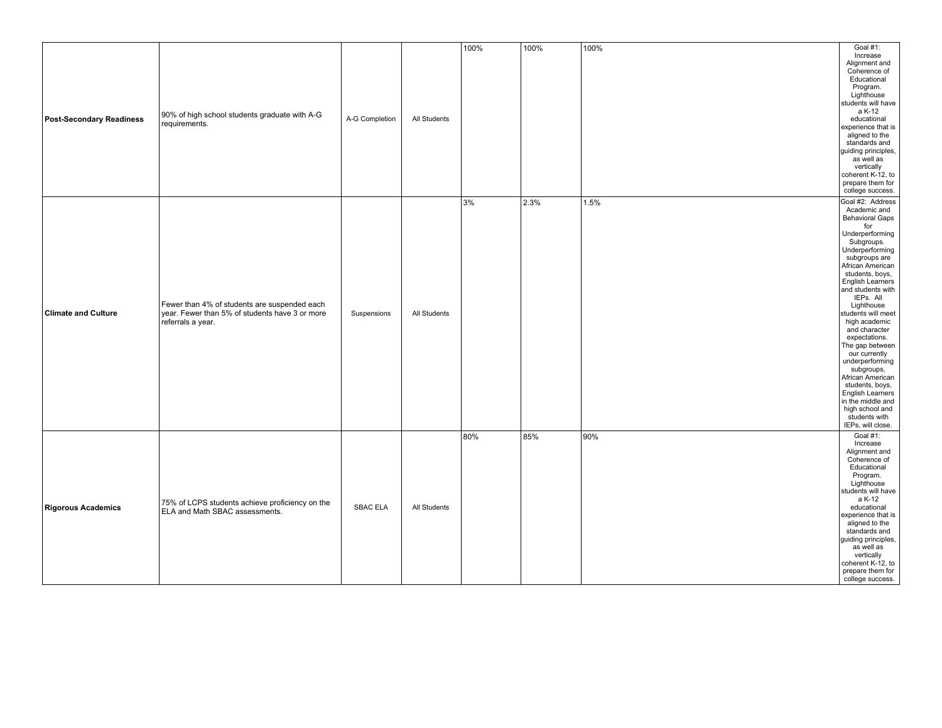| <b>Post-Secondary Readiness</b> | 90% of high school students graduate with A-G<br>requirements.                                                      | A-G Completion  | All Students | 100% | 100% | 100% | Goal #1:<br>Increase<br>Alignment and<br>Coherence of<br>Educational<br>Program.<br>Lighthouse<br>students will have<br>a K-12<br>educational<br>experience that is<br>aligned to the<br>standards and<br>guiding principles,<br>as well as<br>vertically<br>coherent K-12, to<br>prepare them for<br>college success.                                                                                                                                                                                                                          |
|---------------------------------|---------------------------------------------------------------------------------------------------------------------|-----------------|--------------|------|------|------|-------------------------------------------------------------------------------------------------------------------------------------------------------------------------------------------------------------------------------------------------------------------------------------------------------------------------------------------------------------------------------------------------------------------------------------------------------------------------------------------------------------------------------------------------|
| <b>Climate and Culture</b>      | Fewer than 4% of students are suspended each<br>year. Fewer than 5% of students have 3 or more<br>referrals a year. | Suspensions     | All Students | 3%   | 2.3% | 1.5% | Goal #2: Address<br>Academic and<br><b>Behavioral Gaps</b><br>for<br>Underperforming<br>Subgroups.<br>Underperforming<br>subgroups are<br>African American<br>students, boys,<br>English Learners<br>and students with<br>IEPs. All<br>Lighthouse<br>students will meet<br>high academic<br>and character<br>expectations.<br>The gap between<br>our currently<br>underperforming<br>subgroups,<br>African American<br>students, boys,<br><b>English Learners</b><br>in the middle and<br>high school and<br>students with<br>IEPs, will close. |
| <b>Rigorous Academics</b>       | 75% of LCPS students achieve proficiency on the<br><b>ELA and Math SBAC assessments.</b>                            | <b>SBAC ELA</b> | All Students | 80%  | 85%  | 90%  | Goal #1:<br>Increase<br>Alignment and<br>Coherence of<br>Educational<br>Program.<br>Lighthouse<br>students will have<br>a K-12<br>educational<br>experience that is<br>aligned to the<br>standards and<br>guiding principles,<br>as well as<br>vertically<br>coherent K-12, to<br>prepare them for<br>college success.                                                                                                                                                                                                                          |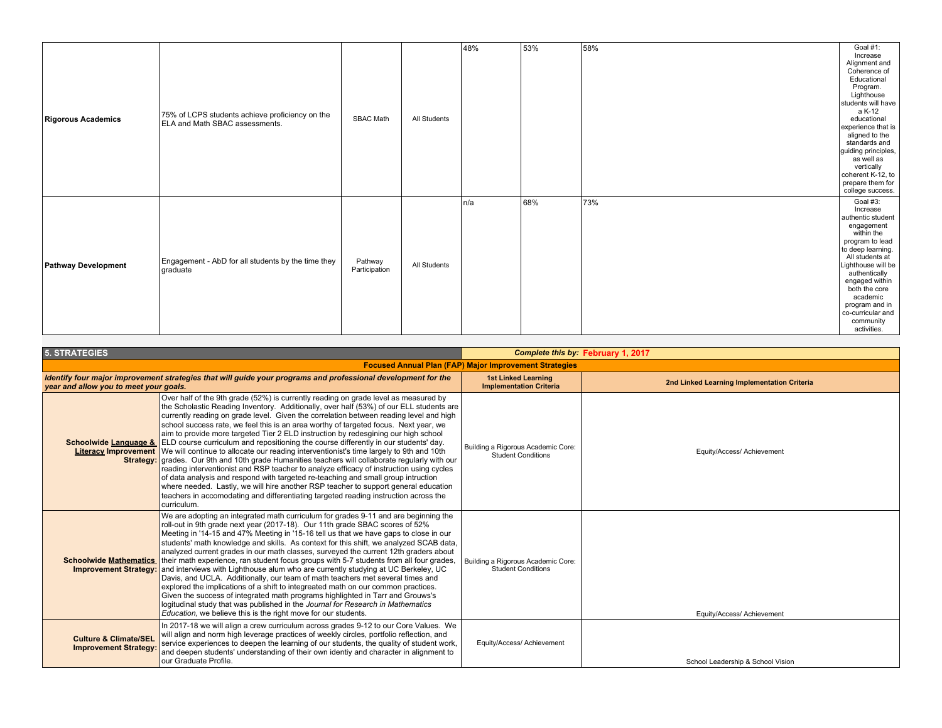| <b>Rigorous Academics</b>  | 75% of LCPS students achieve proficiency on the<br><b>ELA and Math SBAC assessments.</b> | SBAC Math                | All Students | 48%  | 53% | 58% | Goal #1:<br>Increase<br>Alignment and<br>Coherence of<br>Educational<br>Program.<br>Lighthouse<br>students will have<br>a K-12<br>educational<br>experience that is<br>aligned to the<br>standards and<br>guiding principles,<br>as well as<br>vertically<br>coherent K-12, to<br>prepare them for<br>college success. |
|----------------------------|------------------------------------------------------------------------------------------|--------------------------|--------------|------|-----|-----|------------------------------------------------------------------------------------------------------------------------------------------------------------------------------------------------------------------------------------------------------------------------------------------------------------------------|
| <b>Pathway Development</b> | Engagement - AbD for all students by the time they<br>graduate                           | Pathway<br>Participation | All Students | In/a | 68% | 73% | Goal #3:<br>Increase<br>authentic student<br>engagement<br>within the<br>program to lead<br>to deep learning.<br>All students at<br>Lighthouse will be<br>authentically<br>engaged within<br>both the core<br>academic<br>program and in<br>co-curricular and<br>community<br>activities.                              |

| <b>5. STRATEGIES</b>                                             |                                                                                                                                                                                                                                                                                                                                                                                                                                                                                                                                                                                                                                                                                                                                                                                                                                                                                                                                                                                                                                                                                                                                                                                          |                                                                 | Complete this by February 1, 2017           |
|------------------------------------------------------------------|------------------------------------------------------------------------------------------------------------------------------------------------------------------------------------------------------------------------------------------------------------------------------------------------------------------------------------------------------------------------------------------------------------------------------------------------------------------------------------------------------------------------------------------------------------------------------------------------------------------------------------------------------------------------------------------------------------------------------------------------------------------------------------------------------------------------------------------------------------------------------------------------------------------------------------------------------------------------------------------------------------------------------------------------------------------------------------------------------------------------------------------------------------------------------------------|-----------------------------------------------------------------|---------------------------------------------|
|                                                                  |                                                                                                                                                                                                                                                                                                                                                                                                                                                                                                                                                                                                                                                                                                                                                                                                                                                                                                                                                                                                                                                                                                                                                                                          | <b>Focused Annual Plan (FAP) Major Improvement Strategies</b>   |                                             |
| year and allow you to meet your goals.                           | Identify four major improvement strategies that will guide your programs and professional development for the                                                                                                                                                                                                                                                                                                                                                                                                                                                                                                                                                                                                                                                                                                                                                                                                                                                                                                                                                                                                                                                                            | <b>1st Linked Learning</b><br><b>Implementation Criteria</b>    | 2nd Linked Learning Implementation Criteria |
|                                                                  | Over half of the 9th grade (52%) is currently reading on grade level as measured by<br>the Scholastic Reading Inventory. Additionally, over half (53%) of our ELL students are<br>currently reading on grade level. Given the correlation between reading level and high<br>school success rate, we feel this is an area worthy of targeted focus. Next year, we<br>aim to provide more targeted Tier 2 ELD instruction by redesgining our high school<br><b>Schoolwide Language &amp;</b> ELD course curriculum and repositioning the course differently in our students' day.<br><b>Literacy Improvement</b> We will continue to allocate our reading interventionist's time largely to 9th and 10th<br>Strategy: grades. Our 9th and 10th grade Humanities teachers will collaborate regularly with our<br>reading interventionist and RSP teacher to analyze efficacy of instruction using cycles<br>of data analysis and respond with targeted re-teaching and small group intruction<br>where needed. Lastly, we will hire another RSP teacher to support general education<br>teachers in accomodating and differentiating targeted reading instruction across the<br>curriculum. | Building a Rigorous Academic Core:<br><b>Student Conditions</b> | Equity/Access/ Achievement                  |
| <b>Schoolwide Mathematics</b><br><b>Improvement Strategy:</b>    | We are adopting an integrated math curriculum for grades 9-11 and are beginning the<br>roll-out in 9th grade next year (2017-18). Our 11th grade SBAC scores of 52%<br>Meeting in '14-15 and 47% Meeting in '15-16 tell us that we have gaps to close in our<br>students' math knowledge and skills. As context for this shift, we analyzed SCAB data,<br>analyzed current grades in our math classes, surveyed the current 12th graders about<br>their math experience, ran student focus groups with 5-7 students from all four grades,<br>and interviews with Lighthouse alum who are currently studying at UC Berkeley, UC<br>Davis, and UCLA. Additionally, our team of math teachers met several times and<br>explored the implications of a shift to integreated math on our common practices.<br>Given the success of integrated math programs highlighted in Tarr and Grouws's<br>logitudinal study that was published in the Journal for Research in Mathematics<br>Education, we believe this is the right move for our students.                                                                                                                                             | Building a Rigorous Academic Core:<br><b>Student Conditions</b> | Equity/Access/ Achievement                  |
| <b>Culture &amp; Climate/SEL</b><br><b>Improvement Strategy:</b> | In 2017-18 we will align a crew curriculum across grades 9-12 to our Core Values. We<br>will align and norm high leverage practices of weekly circles, portfolio reflection, and<br>service experiences to deepen the learning of our students, the quality of student work,<br>and deepen students' understanding of their own identiy and character in alignment to<br>our Graduate Profile.                                                                                                                                                                                                                                                                                                                                                                                                                                                                                                                                                                                                                                                                                                                                                                                           | Equity/Access/ Achievement                                      | School Leadership & School Vision           |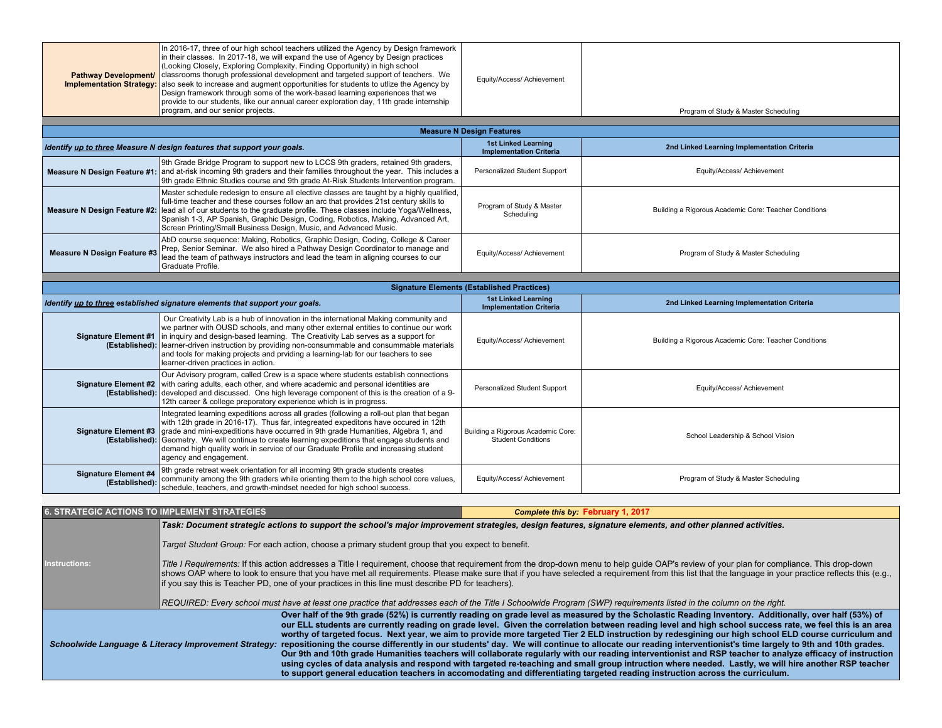| <b>Pathway Development/</b><br><b>Implementation Strategy:</b> | In 2016-17, three of our high school teachers utilized the Agency by Design framework<br>in their classes. In 2017-18, we will expand the use of Agency by Design practices<br>(Looking Closely, Exploring Complexity, Finding Opportunity) in high school<br>classrooms thorugh professional development and targeted support of teachers. We<br>also seek to increase and augment opportunities for students to utlize the Agency by<br>Design framework through some of the work-based learning experiences that we<br>provide to our students, like our annual career exploration day, 11th grade internship<br>program, and our senior projects.                                                                                                                                                                                                                                                                                                                                                                                                                                                                                                                                                                                                                                                                      | Equity/Access/ Achievement                                                      | Program of Study & Master Scheduling                  |  |  |  |  |  |  |  |
|----------------------------------------------------------------|----------------------------------------------------------------------------------------------------------------------------------------------------------------------------------------------------------------------------------------------------------------------------------------------------------------------------------------------------------------------------------------------------------------------------------------------------------------------------------------------------------------------------------------------------------------------------------------------------------------------------------------------------------------------------------------------------------------------------------------------------------------------------------------------------------------------------------------------------------------------------------------------------------------------------------------------------------------------------------------------------------------------------------------------------------------------------------------------------------------------------------------------------------------------------------------------------------------------------------------------------------------------------------------------------------------------------|---------------------------------------------------------------------------------|-------------------------------------------------------|--|--|--|--|--|--|--|
|                                                                |                                                                                                                                                                                                                                                                                                                                                                                                                                                                                                                                                                                                                                                                                                                                                                                                                                                                                                                                                                                                                                                                                                                                                                                                                                                                                                                            |                                                                                 |                                                       |  |  |  |  |  |  |  |
|                                                                |                                                                                                                                                                                                                                                                                                                                                                                                                                                                                                                                                                                                                                                                                                                                                                                                                                                                                                                                                                                                                                                                                                                                                                                                                                                                                                                            | <b>Measure N Design Features</b><br><b>1st Linked Learning</b>                  |                                                       |  |  |  |  |  |  |  |
|                                                                | Identify up to three Measure N design features that support your goals.                                                                                                                                                                                                                                                                                                                                                                                                                                                                                                                                                                                                                                                                                                                                                                                                                                                                                                                                                                                                                                                                                                                                                                                                                                                    | <b>Implementation Criteria</b>                                                  | 2nd Linked Learning Implementation Criteria           |  |  |  |  |  |  |  |
| <b>Measure N Design Feature #1:</b>                            | 9th Grade Bridge Program to support new to LCCS 9th graders, retained 9th graders,<br>and at-risk incoming 9th graders and their families throughout the year. This includes a<br>9th grade Ethnic Studies course and 9th grade At-Risk Students Intervention program.                                                                                                                                                                                                                                                                                                                                                                                                                                                                                                                                                                                                                                                                                                                                                                                                                                                                                                                                                                                                                                                     | Personalized Student Support                                                    | Equity/Access/ Achievement                            |  |  |  |  |  |  |  |
| <b>Measure N Design Feature #2:</b>                            | Master schedule redesign to ensure all elective classes are taught by a highly qualified,<br>full-time teacher and these courses follow an arc that provides 21st century skills to<br>lead all of our students to the graduate profile. These classes include Yoga/Wellness,<br>Spanish 1-3, AP Spanish, Graphic Design, Coding, Robotics, Making, Advanced Art,<br>Screen Printing/Small Business Design, Music, and Advanced Music.                                                                                                                                                                                                                                                                                                                                                                                                                                                                                                                                                                                                                                                                                                                                                                                                                                                                                     | Program of Study & Master<br>Scheduling                                         | Building a Rigorous Academic Core: Teacher Conditions |  |  |  |  |  |  |  |
| <b>Measure N Design Feature #3</b>                             | AbD course sequence: Making, Robotics, Graphic Design, Coding, College & Career<br>Prep, Senior Seminar. We also hired a Pathway Design Coordinator to manage and<br>lead the team of pathways instructors and lead the team in aligning courses to our<br>Graduate Profile.                                                                                                                                                                                                                                                                                                                                                                                                                                                                                                                                                                                                                                                                                                                                                                                                                                                                                                                                                                                                                                               | Equity/Access/ Achievement                                                      | Program of Study & Master Scheduling                  |  |  |  |  |  |  |  |
|                                                                |                                                                                                                                                                                                                                                                                                                                                                                                                                                                                                                                                                                                                                                                                                                                                                                                                                                                                                                                                                                                                                                                                                                                                                                                                                                                                                                            |                                                                                 |                                                       |  |  |  |  |  |  |  |
|                                                                |                                                                                                                                                                                                                                                                                                                                                                                                                                                                                                                                                                                                                                                                                                                                                                                                                                                                                                                                                                                                                                                                                                                                                                                                                                                                                                                            | <b>Signature Elements (Established Practices)</b><br><b>1st Linked Learning</b> |                                                       |  |  |  |  |  |  |  |
|                                                                | Identify up to three established signature elements that support your goals.                                                                                                                                                                                                                                                                                                                                                                                                                                                                                                                                                                                                                                                                                                                                                                                                                                                                                                                                                                                                                                                                                                                                                                                                                                               | <b>Implementation Criteria</b>                                                  | 2nd Linked Learning Implementation Criteria           |  |  |  |  |  |  |  |
| <b>Signature Element #1</b><br>(Established):                  | Our Creativity Lab is a hub of innovation in the international Making community and<br>we partner with OUSD schools, and many other external entities to continue our work<br>in inquiry and design-based learning. The Creativity Lab serves as a support for<br>learner-driven instruction by providing non-consummable and consummable materials<br>and tools for making projects and prviding a learning-lab for our teachers to see<br>learner-driven practices in action.                                                                                                                                                                                                                                                                                                                                                                                                                                                                                                                                                                                                                                                                                                                                                                                                                                            | Equity/Access/ Achievement                                                      | Building a Rigorous Academic Core: Teacher Conditions |  |  |  |  |  |  |  |
| <b>Signature Element #2</b><br>(Established):                  | Our Advisory program, called Crew is a space where students establish connections<br>with caring adults, each other, and where academic and personal identities are<br>developed and discussed. One high leverage component of this is the creation of a 9-<br>12th career & college preporatory experience which is in progress.                                                                                                                                                                                                                                                                                                                                                                                                                                                                                                                                                                                                                                                                                                                                                                                                                                                                                                                                                                                          | Personalized Student Support                                                    | Equity/Access/ Achievement                            |  |  |  |  |  |  |  |
| <b>Signature Element #3</b><br>(Established):                  | Integrated learning expeditions across all grades (following a roll-out plan that began<br>with 12th grade in 2016-17). Thus far, integreated expeditons have occured in 12th<br>grade and mini-expeditions have occurred in 9th grade Humanities, Algebra 1, and<br>Geometry. We will continue to create learning expeditions that engage students and<br>demand high quality work in service of our Graduate Profile and increasing student<br>agency and engagement.                                                                                                                                                                                                                                                                                                                                                                                                                                                                                                                                                                                                                                                                                                                                                                                                                                                    | Building a Rigorous Academic Core:<br><b>Student Conditions</b>                 | School Leadership & School Vision                     |  |  |  |  |  |  |  |
| <b>Signature Element #4</b><br>(Established):                  | 9th grade retreat week orientation for all incoming 9th grade students creates<br>community among the 9th graders while orienting them to the high school core values,<br>schedule, teachers, and growth-mindset needed for high school success.                                                                                                                                                                                                                                                                                                                                                                                                                                                                                                                                                                                                                                                                                                                                                                                                                                                                                                                                                                                                                                                                           | Equity/Access/ Achievement                                                      | Program of Study & Master Scheduling                  |  |  |  |  |  |  |  |
|                                                                |                                                                                                                                                                                                                                                                                                                                                                                                                                                                                                                                                                                                                                                                                                                                                                                                                                                                                                                                                                                                                                                                                                                                                                                                                                                                                                                            |                                                                                 |                                                       |  |  |  |  |  |  |  |
| <b>6. STRATEGIC ACTIONS TO IMPLEMENT STRATEGIES</b>            |                                                                                                                                                                                                                                                                                                                                                                                                                                                                                                                                                                                                                                                                                                                                                                                                                                                                                                                                                                                                                                                                                                                                                                                                                                                                                                                            | Complete this by: February 1, 2017                                              |                                                       |  |  |  |  |  |  |  |
| Instructions:                                                  | Task: Document strategic actions to support the school's major improvement strategies, design features, signature elements, and other planned activities.<br>Target Student Group: For each action, choose a primary student group that you expect to benefit.<br>Title I Requirements: If this action addresses a Title I requirement, choose that requirement from the drop-down menu to help guide OAP's review of your plan for compliance. This drop-down<br>shows OAP where to look to ensure that you have met all requirements. Please make sure that if you have selected a requirement from this list that the language in your practice reflects this (e.g.<br>if you say this is Teacher PD, one of your practices in this line must describe PD for teachers).                                                                                                                                                                                                                                                                                                                                                                                                                                                                                                                                                |                                                                                 |                                                       |  |  |  |  |  |  |  |
|                                                                | REQUIRED: Every school must have at least one practice that addresses each of the Title I Schoolwide Program (SWP) requirements listed in the column on the right.<br>Over half of the 9th grade (52%) is currently reading on grade level as measured by the Scholastic Reading Inventory. Additionally, over half (53%) of<br>our ELL students are currently reading on grade level. Given the correlation between reading level and high school success rate, we feel this is an area<br>worthy of targeted focus. Next year, we aim to provide more targeted Tier 2 ELD instruction by redesgining our high school ELD course curriculum and<br>Schoolwide Language & Literacy Improvement Strategy: repositioning the course differently in our students' day. We will continue to allocate our reading interventionist's time largely to 9th and 10th grades.<br>Our 9th and 10th grade Humanities teachers will collaborate regularly with our reading interventionist and RSP teacher to analyze efficacy of instruction<br>using cycles of data analysis and respond with targeted re-teaching and small group intruction where needed. Lastly, we will hire another RSP teacher<br>to support general education teachers in accomodating and differentiating targeted reading instruction across the curriculum. |                                                                                 |                                                       |  |  |  |  |  |  |  |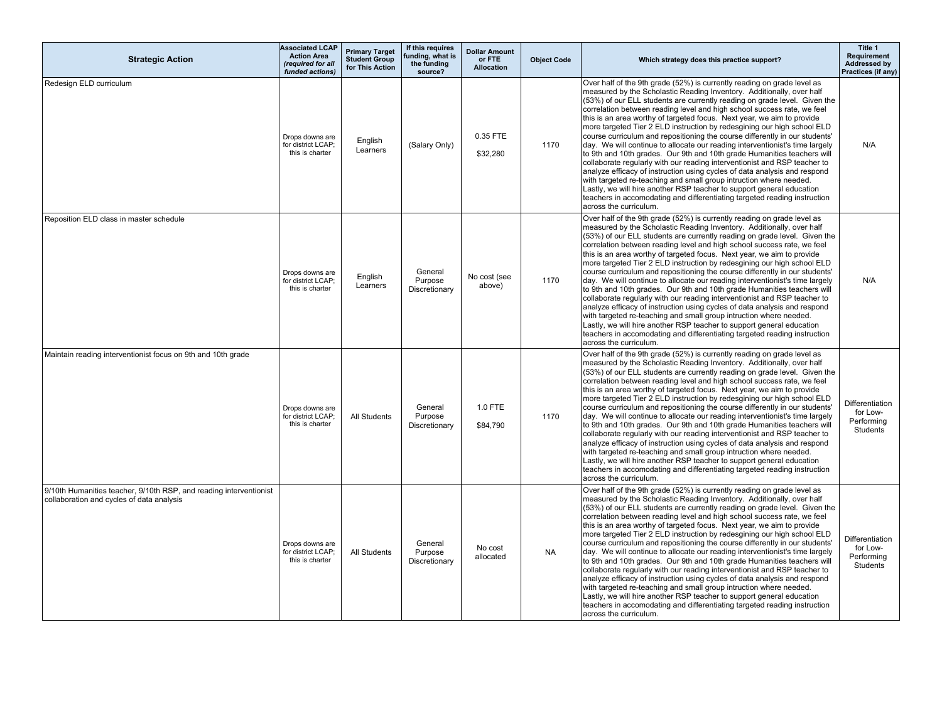| <b>Strategic Action</b>                                                                                         | <b>Associated LCAP</b><br><b>Action Area</b><br>(required for all<br>funded actions) | <b>Primary Target</b><br><b>Student Group</b><br>for This Action | If this requires<br>funding, what is<br>the funding<br>source? | <b>Dollar Amount</b><br>or FTE<br>Allocation | <b>Object Code</b> | Which strategy does this practice support?                                                                                                                                                                                                                                                                                                                                                                                                                                                                                                                                                                                                                                                                                                                                                                                                                                                                                                                                                                                                                                                                              | Title 1<br>Requirement<br>Addressed by<br>Practices (if any) |
|-----------------------------------------------------------------------------------------------------------------|--------------------------------------------------------------------------------------|------------------------------------------------------------------|----------------------------------------------------------------|----------------------------------------------|--------------------|-------------------------------------------------------------------------------------------------------------------------------------------------------------------------------------------------------------------------------------------------------------------------------------------------------------------------------------------------------------------------------------------------------------------------------------------------------------------------------------------------------------------------------------------------------------------------------------------------------------------------------------------------------------------------------------------------------------------------------------------------------------------------------------------------------------------------------------------------------------------------------------------------------------------------------------------------------------------------------------------------------------------------------------------------------------------------------------------------------------------------|--------------------------------------------------------------|
| Redesign ELD curriculum                                                                                         | Drops downs are<br>for district LCAP;<br>this is charter                             | Enalish<br>Learners                                              | (Salary Only)                                                  | 0.35 FTE<br>\$32,280                         | 1170               | Over half of the 9th grade (52%) is currently reading on grade level as<br>measured by the Scholastic Reading Inventory. Additionally, over half<br>(53%) of our ELL students are currently reading on grade level. Given the<br>correlation between reading level and high school success rate, we feel<br>this is an area worthy of targeted focus. Next year, we aim to provide<br>more targeted Tier 2 ELD instruction by redesgining our high school ELD<br>course curriculum and repositioning the course differently in our students'<br>day. We will continue to allocate our reading interventionist's time largely<br>to 9th and 10th grades. Our 9th and 10th grade Humanities teachers will<br>collaborate regularly with our reading interventionist and RSP teacher to<br>analyze efficacy of instruction using cycles of data analysis and respond<br>with targeted re-teaching and small group intruction where needed.<br>Lastly, we will hire another RSP teacher to support general education<br>teachers in accomodating and differentiating targeted reading instruction<br>across the curriculum. | N/A                                                          |
| Reposition ELD class in master schedule                                                                         | Drops downs are<br>for district LCAP;<br>this is charter                             | English<br>Learners                                              | General<br>Purpose<br>Discretionary                            | No cost (see<br>above)                       | 1170               | Over half of the 9th grade (52%) is currently reading on grade level as<br>measured by the Scholastic Reading Inventory. Additionally, over half<br>(53%) of our ELL students are currently reading on grade level. Given the<br>correlation between reading level and high school success rate, we feel<br>this is an area worthy of targeted focus. Next year, we aim to provide<br>more targeted Tier 2 ELD instruction by redesgining our high school ELD<br>course curriculum and repositioning the course differently in our students'<br>day. We will continue to allocate our reading interventionist's time largely<br>to 9th and 10th grades. Our 9th and 10th grade Humanities teachers will<br>collaborate regularly with our reading interventionist and RSP teacher to<br>analyze efficacy of instruction using cycles of data analysis and respond<br>with targeted re-teaching and small group intruction where needed.<br>Lastly, we will hire another RSP teacher to support general education<br>teachers in accomodating and differentiating targeted reading instruction<br>across the curriculum. | N/A                                                          |
| Maintain reading interventionist focus on 9th and 10th grade                                                    | Drops downs are<br>for district LCAP;<br>this is charter                             | All Students                                                     | General<br>Purpose<br>Discretionary                            | 1.0 FTE<br>\$84,790                          | 1170               | Over half of the 9th grade (52%) is currently reading on grade level as<br>measured by the Scholastic Reading Inventory. Additionally, over half<br>(53%) of our ELL students are currently reading on grade level. Given the<br>correlation between reading level and high school success rate, we feel<br>this is an area worthy of targeted focus. Next year, we aim to provide<br>more targeted Tier 2 ELD instruction by redesgining our high school ELD<br>course curriculum and repositioning the course differently in our students'<br>day. We will continue to allocate our reading interventionist's time largely<br>to 9th and 10th grades. Our 9th and 10th grade Humanities teachers will<br>collaborate regularly with our reading interventionist and RSP teacher to<br>analyze efficacy of instruction using cycles of data analysis and respond<br>with targeted re-teaching and small group intruction where needed.<br>Lastly, we will hire another RSP teacher to support general education<br>teachers in accomodating and differentiating targeted reading instruction<br>across the curriculum. | <b>Differentiation</b><br>for Low-<br>Performing<br>Students |
| 9/10th Humanities teacher, 9/10th RSP, and reading interventionist<br>collaboration and cycles of data analysis | Drops downs are<br>for district LCAP;<br>this is charter                             | All Students                                                     | General<br>Purpose<br>Discretionary                            | No cost<br>allocated                         | <b>NA</b>          | Over half of the 9th grade (52%) is currently reading on grade level as<br>measured by the Scholastic Reading Inventory. Additionally, over half<br>(53%) of our ELL students are currently reading on grade level. Given the<br>correlation between reading level and high school success rate, we feel<br>this is an area worthy of targeted focus. Next year, we aim to provide<br>more targeted Tier 2 ELD instruction by redesgining our high school ELD<br>course curriculum and repositioning the course differently in our students'<br>day. We will continue to allocate our reading interventionist's time largely<br>to 9th and 10th grades. Our 9th and 10th grade Humanities teachers will<br>collaborate regularly with our reading interventionist and RSP teacher to<br>analyze efficacy of instruction using cycles of data analysis and respond<br>with targeted re-teaching and small group intruction where needed.<br>Lastly, we will hire another RSP teacher to support general education<br>teachers in accomodating and differentiating targeted reading instruction<br>across the curriculum. | <b>Differentiation</b><br>for Low-<br>Performing<br>Students |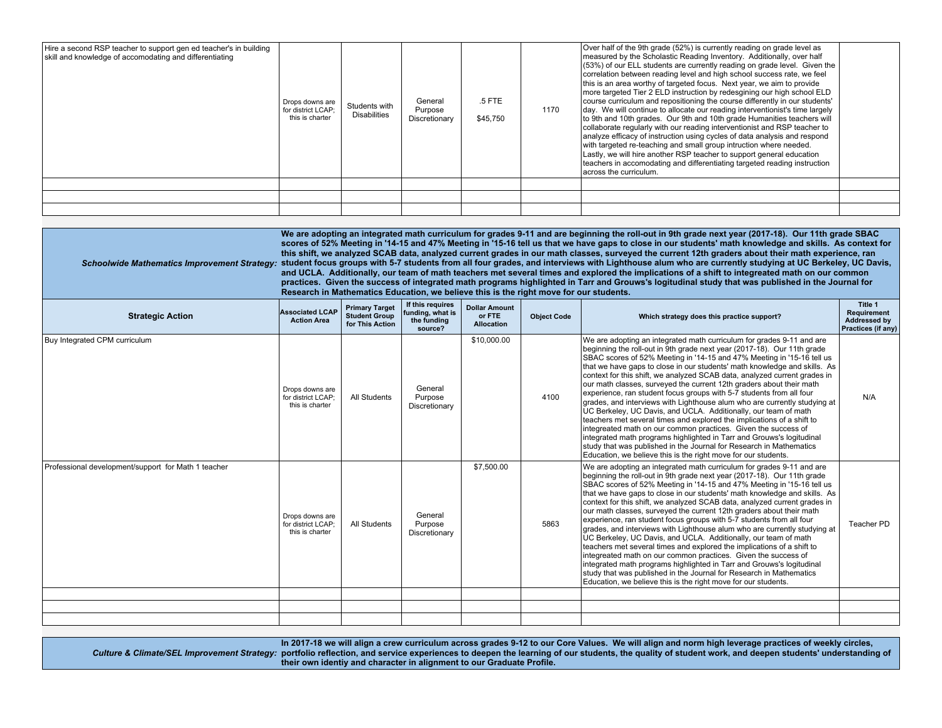| Hire a second RSP teacher to support gen ed teacher's in building<br>skill and knowledge of accomodating and differentiating | Drops downs are<br>for district LCAP;<br>this is charter | Students with<br><b>Disabilities</b> | General<br>Purpose<br>Discretionary | .5 FTE<br>\$45,750 | 1170 | Over half of the 9th grade (52%) is currently reading on grade level as<br>measured by the Scholastic Reading Inventory. Additionally, over half<br>(53%) of our ELL students are currently reading on grade level. Given the<br>correlation between reading level and high school success rate, we feel<br>this is an area worthy of targeted focus. Next year, we aim to provide<br>more targeted Tier 2 ELD instruction by redesgining our high school ELD<br>course curriculum and repositioning the course differently in our students'<br>day. We will continue to allocate our reading interventionist's time largely<br>to 9th and 10th grades. Our 9th and 10th grade Humanities teachers will<br>collaborate regularly with our reading interventionist and RSP teacher to<br>analyze efficacy of instruction using cycles of data analysis and respond<br>with targeted re-teaching and small group intruction where needed.<br>Lastly, we will hire another RSP teacher to support general education<br>teachers in accomodating and differentiating targeted reading instruction<br>across the curriculum. |  |
|------------------------------------------------------------------------------------------------------------------------------|----------------------------------------------------------|--------------------------------------|-------------------------------------|--------------------|------|-------------------------------------------------------------------------------------------------------------------------------------------------------------------------------------------------------------------------------------------------------------------------------------------------------------------------------------------------------------------------------------------------------------------------------------------------------------------------------------------------------------------------------------------------------------------------------------------------------------------------------------------------------------------------------------------------------------------------------------------------------------------------------------------------------------------------------------------------------------------------------------------------------------------------------------------------------------------------------------------------------------------------------------------------------------------------------------------------------------------------|--|
|                                                                                                                              |                                                          |                                      |                                     |                    |      |                                                                                                                                                                                                                                                                                                                                                                                                                                                                                                                                                                                                                                                                                                                                                                                                                                                                                                                                                                                                                                                                                                                         |  |
|                                                                                                                              |                                                          |                                      |                                     |                    |      |                                                                                                                                                                                                                                                                                                                                                                                                                                                                                                                                                                                                                                                                                                                                                                                                                                                                                                                                                                                                                                                                                                                         |  |
|                                                                                                                              |                                                          |                                      |                                     |                    |      |                                                                                                                                                                                                                                                                                                                                                                                                                                                                                                                                                                                                                                                                                                                                                                                                                                                                                                                                                                                                                                                                                                                         |  |

|                                                     |                                                          | We are adopting an integrated math curriculum for grades 9-11 and are beginning the roll-out in 9th grade next year (2017-18). Our 11th grade SBAC<br>scores of 52% Meeting in '14-15 and 47% Meeting in '15-16 tell us that we have gaps to close in our students' math knowledge and skills. As context for<br>this shift, we analyzed SCAB data, analyzed current grades in our math classes, surveyed the current 12th graders about their math experience, ran<br>Schoolwide Mathematics Improvement Strategy: student focus groups with 5-7 students from all four grades, and interviews with Lighthouse alum who are currently studying at UC Berkeley, UC Davis,<br>and UCLA. Additionally, our team of math teachers met several times and explored the implications of a shift to integreated math on our common<br>practices. Given the success of integrated math programs highlighted in Tarr and Grouws's logitudinal study that was published in the Journal for<br>Research in Mathematics Education, we believe this is the right move for our students. |                                                                |                                                     |                    |                                                                                                                                                                                                                                                                                                                                                                                                                                                                                                                                                                                                                                                                                                                                                                                                                                                                                                                                                                                                                                                    |                                                              |  |  |  |  |  |
|-----------------------------------------------------|----------------------------------------------------------|----------------------------------------------------------------------------------------------------------------------------------------------------------------------------------------------------------------------------------------------------------------------------------------------------------------------------------------------------------------------------------------------------------------------------------------------------------------------------------------------------------------------------------------------------------------------------------------------------------------------------------------------------------------------------------------------------------------------------------------------------------------------------------------------------------------------------------------------------------------------------------------------------------------------------------------------------------------------------------------------------------------------------------------------------------------------------|----------------------------------------------------------------|-----------------------------------------------------|--------------------|----------------------------------------------------------------------------------------------------------------------------------------------------------------------------------------------------------------------------------------------------------------------------------------------------------------------------------------------------------------------------------------------------------------------------------------------------------------------------------------------------------------------------------------------------------------------------------------------------------------------------------------------------------------------------------------------------------------------------------------------------------------------------------------------------------------------------------------------------------------------------------------------------------------------------------------------------------------------------------------------------------------------------------------------------|--------------------------------------------------------------|--|--|--|--|--|
| <b>Strategic Action</b>                             | <b>Associated LCAP</b><br><b>Action Area</b>             | <b>Primary Target</b><br><b>Student Group</b><br>for This Action                                                                                                                                                                                                                                                                                                                                                                                                                                                                                                                                                                                                                                                                                                                                                                                                                                                                                                                                                                                                           | If this requires<br>funding, what is<br>the funding<br>source? | <b>Dollar Amount</b><br>or FTE<br><b>Allocation</b> | <b>Object Code</b> | Which strategy does this practice support?                                                                                                                                                                                                                                                                                                                                                                                                                                                                                                                                                                                                                                                                                                                                                                                                                                                                                                                                                                                                         | Title 1<br>Requirement<br>Addressed by<br>Practices (if any) |  |  |  |  |  |
| Buy Integrated CPM curriculum                       | Drops downs are<br>for district LCAP;<br>this is charter | All Students                                                                                                                                                                                                                                                                                                                                                                                                                                                                                                                                                                                                                                                                                                                                                                                                                                                                                                                                                                                                                                                               | General<br>Purpose<br>Discretionary                            | \$10,000.00                                         | 4100               | We are adopting an integrated math curriculum for grades 9-11 and are<br>beginning the roll-out in 9th grade next year (2017-18). Our 11th grade<br>SBAC scores of 52% Meeting in '14-15 and 47% Meeting in '15-16 tell us<br>that we have gaps to close in our students' math knowledge and skills. As<br>context for this shift, we analyzed SCAB data, analyzed current grades in<br>our math classes, surveyed the current 12th graders about their math<br>experience, ran student focus groups with 5-7 students from all four<br>grades, and interviews with Lighthouse alum who are currently studying at<br>UC Berkeley, UC Davis, and UCLA. Additionally, our team of math<br>teachers met several times and explored the implications of a shift to<br>integreated math on our common practices. Given the success of<br>integrated math programs highlighted in Tarr and Grouws's logitudinal<br>study that was published in the Journal for Research in Mathematics<br>Education, we believe this is the right move for our students. | N/A                                                          |  |  |  |  |  |
| Professional development/support for Math 1 teacher | Drops downs are<br>for district LCAP;<br>this is charter | All Students                                                                                                                                                                                                                                                                                                                                                                                                                                                                                                                                                                                                                                                                                                                                                                                                                                                                                                                                                                                                                                                               | General<br>Purpose<br>Discretionary                            | \$7,500.00                                          | 5863               | We are adopting an integrated math curriculum for grades 9-11 and are<br>beginning the roll-out in 9th grade next year (2017-18). Our 11th grade<br>SBAC scores of 52% Meeting in '14-15 and 47% Meeting in '15-16 tell us<br>that we have gaps to close in our students' math knowledge and skills. As<br>context for this shift, we analyzed SCAB data, analyzed current grades in<br>our math classes, surveyed the current 12th graders about their math<br>experience, ran student focus groups with 5-7 students from all four<br>grades, and interviews with Lighthouse alum who are currently studying at<br>UC Berkeley, UC Davis, and UCLA. Additionally, our team of math<br>teachers met several times and explored the implications of a shift to<br>integreated math on our common practices. Given the success of<br>integrated math programs highlighted in Tarr and Grouws's logitudinal<br>study that was published in the Journal for Research in Mathematics<br>Education, we believe this is the right move for our students. | Teacher PD                                                   |  |  |  |  |  |
|                                                     |                                                          |                                                                                                                                                                                                                                                                                                                                                                                                                                                                                                                                                                                                                                                                                                                                                                                                                                                                                                                                                                                                                                                                            |                                                                |                                                     |                    |                                                                                                                                                                                                                                                                                                                                                                                                                                                                                                                                                                                                                                                                                                                                                                                                                                                                                                                                                                                                                                                    |                                                              |  |  |  |  |  |
|                                                     |                                                          |                                                                                                                                                                                                                                                                                                                                                                                                                                                                                                                                                                                                                                                                                                                                                                                                                                                                                                                                                                                                                                                                            |                                                                |                                                     |                    |                                                                                                                                                                                                                                                                                                                                                                                                                                                                                                                                                                                                                                                                                                                                                                                                                                                                                                                                                                                                                                                    |                                                              |  |  |  |  |  |

 *Culture & Climate/SEL Improvement Strategy:* **In 2017-18 we will align a crew curriculum across grades 9-12 to our Core Values. We will align and norm high leverage practices of weekly circles, portfolio reflection, and service experiences to deepen the learning of our students, the quality of student work, and deepen students' understanding of their own identiy and character in alignment to our Graduate Profile.**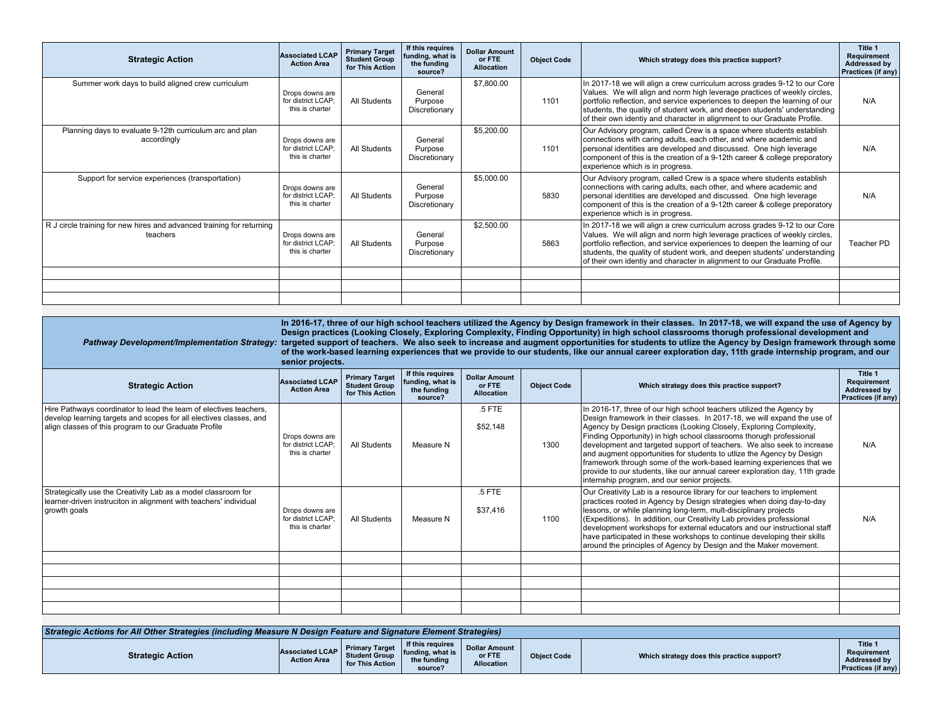| <b>Strategic Action</b>                                                           | <b>Associated LCAP</b><br><b>Action Area</b>             | <b>Primary Target</b><br><b>Student Group</b><br>for This Action | If this requires<br>funding, what is<br>the funding<br>source? | <b>Dollar Amount</b><br>or FTE<br><b>Allocation</b> | <b>Object Code</b> | Which strategy does this practice support?                                                                                                                                                                                                                                                                                                                                                     | Title 1<br>Requirement<br><b>Addressed by</b><br>Practices (if any) |
|-----------------------------------------------------------------------------------|----------------------------------------------------------|------------------------------------------------------------------|----------------------------------------------------------------|-----------------------------------------------------|--------------------|------------------------------------------------------------------------------------------------------------------------------------------------------------------------------------------------------------------------------------------------------------------------------------------------------------------------------------------------------------------------------------------------|---------------------------------------------------------------------|
| Summer work days to build aligned crew curriculum                                 | Drops downs are<br>for district LCAP:<br>this is charter | All Students                                                     | General<br>Purpose<br>Discretionary                            | \$7,800.00                                          | 1101               | In 2017-18 we will align a crew curriculum across grades 9-12 to our Core<br>Values. We will align and norm high leverage practices of weekly circles,<br>portfolio reflection, and service experiences to deepen the learning of our<br>students, the quality of student work, and deepen students' understanding<br>of their own identiy and character in alignment to our Graduate Profile. | N/A                                                                 |
| Planning days to evaluate 9-12th curriculum arc and plan<br>accordingly           | Drops downs are<br>for district LCAP:<br>this is charter | All Students                                                     | General<br>Purpose<br>Discretionary                            | \$5,200.00                                          | 1101               | Our Advisory program, called Crew is a space where students establish<br>connections with caring adults, each other, and where academic and<br>personal identities are developed and discussed. One high leverage<br>component of this is the creation of a 9-12th career & college preporatory<br>experience which is in progress.                                                            | N/A                                                                 |
| Support for service experiences (transportation)                                  | Drops downs are<br>for district LCAP:<br>this is charter | All Students                                                     | General<br>Purpose<br>Discretionary                            | \$5,000.00                                          | 5830               | Our Advisory program, called Crew is a space where students establish<br>connections with caring adults, each other, and where academic and<br>personal identities are developed and discussed. One high leverage<br>component of this is the creation of a 9-12th career & college preporatory<br>experience which is in progress.                                                            | N/A                                                                 |
| R J circle training for new hires and advanced training for returning<br>teachers | Drops downs are<br>for district LCAP:<br>this is charter | All Students                                                     | General<br>Purpose<br>Discretionary                            | \$2,500.00                                          | 5863               | In 2017-18 we will align a crew curriculum across grades 9-12 to our Core<br>Values. We will align and norm high leverage practices of weekly circles,<br>portfolio reflection, and service experiences to deepen the learning of our<br>students, the quality of student work, and deepen students' understanding<br>of their own identiy and character in alignment to our Graduate Profile. | Teacher PD                                                          |
|                                                                                   |                                                          |                                                                  |                                                                |                                                     |                    |                                                                                                                                                                                                                                                                                                                                                                                                |                                                                     |
|                                                                                   |                                                          |                                                                  |                                                                |                                                     |                    |                                                                                                                                                                                                                                                                                                                                                                                                |                                                                     |
|                                                                                   |                                                          |                                                                  |                                                                |                                                     |                    |                                                                                                                                                                                                                                                                                                                                                                                                |                                                                     |

| Pathway Development/Implementation Strategy:                                                                                                                                                     | senior projects.                                         | In 2016-17, three of our high school teachers utilized the Agency by Design framework in their classes. In 2017-18, we will expand the use of Agency by<br>Design practices (Looking Closely, Exploring Complexity, Finding Opportunity) in high school classrooms thorugh professional development and<br>targeted support of teachers. We also seek to increase and augment opportunities for students to utlize the Agency by Design framework through some<br>of the work-based learning experiences that we provide to our students, like our annual career exploration day, 11th grade internship program, and our |                                                                |                                                     |                    |                                                                                                                                                                                                                                                                                                                                                                                                                                                                                                                                                                                                                                                          |                                                              |  |  |
|--------------------------------------------------------------------------------------------------------------------------------------------------------------------------------------------------|----------------------------------------------------------|--------------------------------------------------------------------------------------------------------------------------------------------------------------------------------------------------------------------------------------------------------------------------------------------------------------------------------------------------------------------------------------------------------------------------------------------------------------------------------------------------------------------------------------------------------------------------------------------------------------------------|----------------------------------------------------------------|-----------------------------------------------------|--------------------|----------------------------------------------------------------------------------------------------------------------------------------------------------------------------------------------------------------------------------------------------------------------------------------------------------------------------------------------------------------------------------------------------------------------------------------------------------------------------------------------------------------------------------------------------------------------------------------------------------------------------------------------------------|--------------------------------------------------------------|--|--|
| <b>Strategic Action</b>                                                                                                                                                                          | <b>Associated LCAP</b><br><b>Action Area</b>             | <b>Primary Target</b><br><b>Student Group</b><br>for This Action                                                                                                                                                                                                                                                                                                                                                                                                                                                                                                                                                         | If this requires<br>funding, what is<br>the funding<br>source? | <b>Dollar Amount</b><br>or FTE<br><b>Allocation</b> | <b>Object Code</b> | Which strategy does this practice support?                                                                                                                                                                                                                                                                                                                                                                                                                                                                                                                                                                                                               | Title 1<br>Requirement<br>Addressed by<br>Practices (if any) |  |  |
| Hire Pathways coordinator to lead the team of electives teachers,<br>develop learning targets and scopes for all electives classes, and<br>align classes of this program to our Graduate Profile | Drops downs are<br>for district LCAP:<br>this is charter | All Students                                                                                                                                                                                                                                                                                                                                                                                                                                                                                                                                                                                                             | Measure N                                                      | $.5$ FTE<br>\$52,148                                | 1300               | In 2016-17, three of our high school teachers utilized the Agency by<br>Design framework in their classes. In 2017-18, we will expand the use of<br>Agency by Design practices (Looking Closely, Exploring Complexity,<br>Finding Opportunity) in high school classrooms thorugh professional<br>development and targeted support of teachers. We also seek to increase<br>and augment opportunities for students to utlize the Agency by Design<br>framework through some of the work-based learning experiences that we<br>provide to our students, like our annual career exploration day, 11th grade<br>internship program, and our senior projects. | N/A                                                          |  |  |
| Strategically use the Creativity Lab as a model classroom for<br>learner-driven instruciton in alignment with teachers' individual<br>growth goals                                               | Drops downs are<br>for district LCAP:<br>this is charter | All Students                                                                                                                                                                                                                                                                                                                                                                                                                                                                                                                                                                                                             | Measure N                                                      | .5 FTE<br>\$37,416                                  | 1100               | Our Creativity Lab is a resource library for our teachers to implement<br>practices rooted in Agency by Design strategies when doing day-to-day<br>lessons, or while planning long-term, mult-disciplinary projects<br>(Expeditions). In addition, our Creativity Lab provides professional<br>development workshops for external educators and our instructional staff<br>have participated in these workshops to continue developing their skills<br>around the principles of Agency by Design and the Maker movement.                                                                                                                                 | N/A                                                          |  |  |
|                                                                                                                                                                                                  |                                                          |                                                                                                                                                                                                                                                                                                                                                                                                                                                                                                                                                                                                                          |                                                                |                                                     |                    |                                                                                                                                                                                                                                                                                                                                                                                                                                                                                                                                                                                                                                                          |                                                              |  |  |
|                                                                                                                                                                                                  |                                                          |                                                                                                                                                                                                                                                                                                                                                                                                                                                                                                                                                                                                                          |                                                                |                                                     |                    |                                                                                                                                                                                                                                                                                                                                                                                                                                                                                                                                                                                                                                                          |                                                              |  |  |
|                                                                                                                                                                                                  |                                                          |                                                                                                                                                                                                                                                                                                                                                                                                                                                                                                                                                                                                                          |                                                                |                                                     |                    |                                                                                                                                                                                                                                                                                                                                                                                                                                                                                                                                                                                                                                                          |                                                              |  |  |
|                                                                                                                                                                                                  |                                                          |                                                                                                                                                                                                                                                                                                                                                                                                                                                                                                                                                                                                                          |                                                                |                                                     |                    |                                                                                                                                                                                                                                                                                                                                                                                                                                                                                                                                                                                                                                                          |                                                              |  |  |

| Strategic Actions for All Other Strategies (including Measure N Design Feature and Signature Element Strategies) |                                       |                                                                  |                                                                 |                                                     |                    |                                            |                                                                     |  |  |
|------------------------------------------------------------------------------------------------------------------|---------------------------------------|------------------------------------------------------------------|-----------------------------------------------------------------|-----------------------------------------------------|--------------------|--------------------------------------------|---------------------------------------------------------------------|--|--|
| <b>Strategic Action</b>                                                                                          | Associated LCAP<br><b>Action Area</b> | <b>Primary Target</b><br><b>Student Group</b><br>for This Action | If this requires<br>funding, what is.<br>the funding<br>source? | <b>Dollar Amount</b><br>or FTE<br><b>Allocation</b> | <b>Object Code</b> | Which strategy does this practice support? | Title 1<br>Requirement<br>Addressed by<br><b>Practices (if any)</b> |  |  |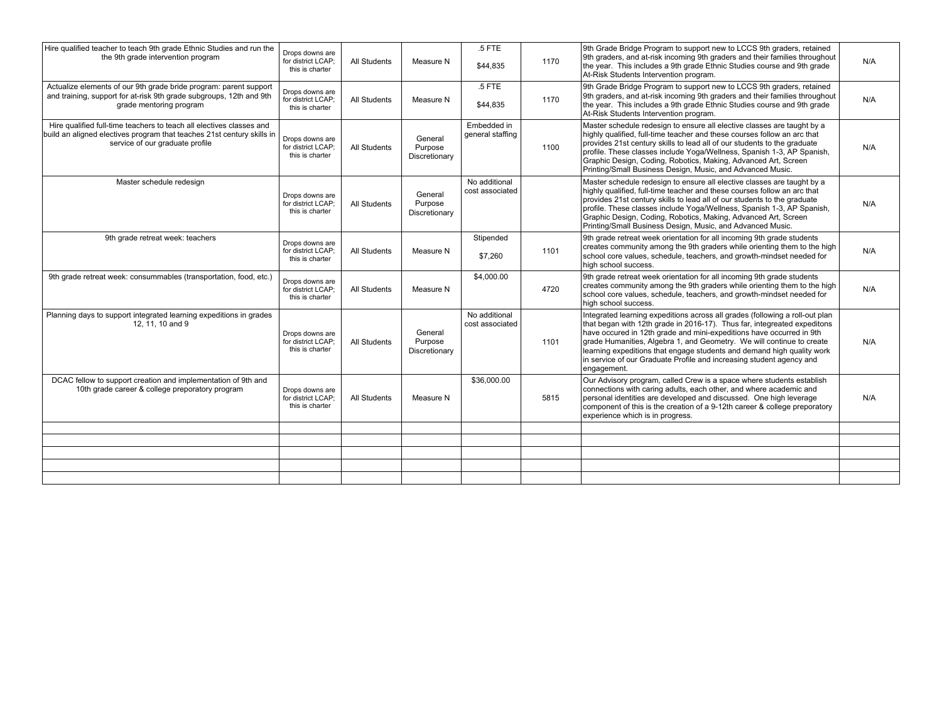| Hire qualified teacher to teach 9th grade Ethnic Studies and run the<br>the 9th grade intervention program                                                                        | Drops downs are<br>for district LCAP:<br>this is charter | <b>All Students</b> | Measure N                           | $.5$ FTE<br>\$44,835             | 1170 | 9th Grade Bridge Program to support new to LCCS 9th graders, retained<br>9th graders, and at-risk incoming 9th graders and their families throughout<br>the year. This includes a 9th grade Ethnic Studies course and 9th grade<br>At-Risk Students Intervention program.                                                                                                                                                                                                  | N/A |
|-----------------------------------------------------------------------------------------------------------------------------------------------------------------------------------|----------------------------------------------------------|---------------------|-------------------------------------|----------------------------------|------|----------------------------------------------------------------------------------------------------------------------------------------------------------------------------------------------------------------------------------------------------------------------------------------------------------------------------------------------------------------------------------------------------------------------------------------------------------------------------|-----|
| Actualize elements of our 9th grade bride program: parent support<br>and training, support for at-risk 9th grade subgroups, 12th and 9th<br>grade mentoring program               | Drops downs are<br>for district LCAP:<br>this is charter | <b>All Students</b> | Measure N                           | .5 FTE<br>\$44,835               | 1170 | 9th Grade Bridge Program to support new to LCCS 9th graders, retained<br>9th graders, and at-risk incoming 9th graders and their families throughout<br>the year. This includes a 9th grade Ethnic Studies course and 9th grade<br>At-Risk Students Intervention program.                                                                                                                                                                                                  | N/A |
| Hire qualified full-time teachers to teach all electives classes and<br>build an aligned electives program that teaches 21st century skills in<br>service of our graduate profile | Drops downs are<br>for district LCAP;<br>this is charter | All Students        | General<br>Purpose<br>Discretionary | Embedded in<br>general staffing  | 1100 | Master schedule redesign to ensure all elective classes are taught by a<br>highly qualified, full-time teacher and these courses follow an arc that<br>provides 21st century skills to lead all of our students to the graduate<br>profile. These classes include Yoga/Wellness, Spanish 1-3, AP Spanish,<br>Graphic Design, Coding, Robotics, Making, Advanced Art, Screen<br>Printing/Small Business Design, Music, and Advanced Music.                                  | N/A |
| Master schedule redesign                                                                                                                                                          | Drops downs are<br>for district LCAP;<br>this is charter | All Students        | General<br>Purpose<br>Discretionary | No additional<br>cost associated |      | Master schedule redesign to ensure all elective classes are taught by a<br>highly qualified, full-time teacher and these courses follow an arc that<br>provides 21st century skills to lead all of our students to the graduate<br>profile. These classes include Yoga/Wellness, Spanish 1-3, AP Spanish,<br>Graphic Design, Coding, Robotics, Making, Advanced Art, Screen<br>Printing/Small Business Design, Music, and Advanced Music.                                  | N/A |
| 9th grade retreat week: teachers                                                                                                                                                  | Drops downs are<br>for district LCAP:<br>this is charter | <b>All Students</b> | Measure N                           | Stipended<br>\$7,260             | 1101 | 9th grade retreat week orientation for all incoming 9th grade students<br>creates community among the 9th graders while orienting them to the high<br>school core values, schedule, teachers, and growth-mindset needed for<br>high school success.                                                                                                                                                                                                                        | N/A |
| 9th grade retreat week: consummables (transportation, food, etc.)                                                                                                                 | Drops downs are<br>for district LCAP:<br>this is charter | <b>All Students</b> | Measure N                           | \$4,000.00                       | 4720 | 9th grade retreat week orientation for all incoming 9th grade students<br>creates community among the 9th graders while orienting them to the high<br>school core values, schedule, teachers, and growth-mindset needed for<br>hiah school success.                                                                                                                                                                                                                        | N/A |
| Planning days to support integrated learning expeditions in grades<br>12, 11, 10 and 9                                                                                            | Drops downs are<br>for district LCAP;<br>this is charter | <b>All Students</b> | General<br>Purpose<br>Discretionary | No additional<br>cost associated | 1101 | Integrated learning expeditions across all grades (following a roll-out plan<br>that began with 12th grade in 2016-17). Thus far, integreated expeditons<br>have occured in 12th grade and mini-expeditions have occurred in 9th<br>grade Humanities, Algebra 1, and Geometry. We will continue to create<br>learning expeditions that engage students and demand high quality work<br>in service of our Graduate Profile and increasing student agency and<br>engagement. | N/A |
| DCAC fellow to support creation and implementation of 9th and<br>10th grade career & college preporatory program                                                                  | Drops downs are<br>for district LCAP;<br>this is charter | All Students        | Measure N                           | \$36,000.00                      | 5815 | Our Advisory program, called Crew is a space where students establish<br>connections with caring adults, each other, and where academic and<br>personal identities are developed and discussed. One high leverage<br>component of this is the creation of a 9-12th career & college preporatory<br>experience which is in progress.                                                                                                                                        | N/A |
|                                                                                                                                                                                   |                                                          |                     |                                     |                                  |      |                                                                                                                                                                                                                                                                                                                                                                                                                                                                            |     |
|                                                                                                                                                                                   |                                                          |                     |                                     |                                  |      |                                                                                                                                                                                                                                                                                                                                                                                                                                                                            |     |
|                                                                                                                                                                                   |                                                          |                     |                                     |                                  |      |                                                                                                                                                                                                                                                                                                                                                                                                                                                                            |     |
|                                                                                                                                                                                   |                                                          |                     |                                     |                                  |      |                                                                                                                                                                                                                                                                                                                                                                                                                                                                            |     |
|                                                                                                                                                                                   |                                                          |                     |                                     |                                  |      |                                                                                                                                                                                                                                                                                                                                                                                                                                                                            |     |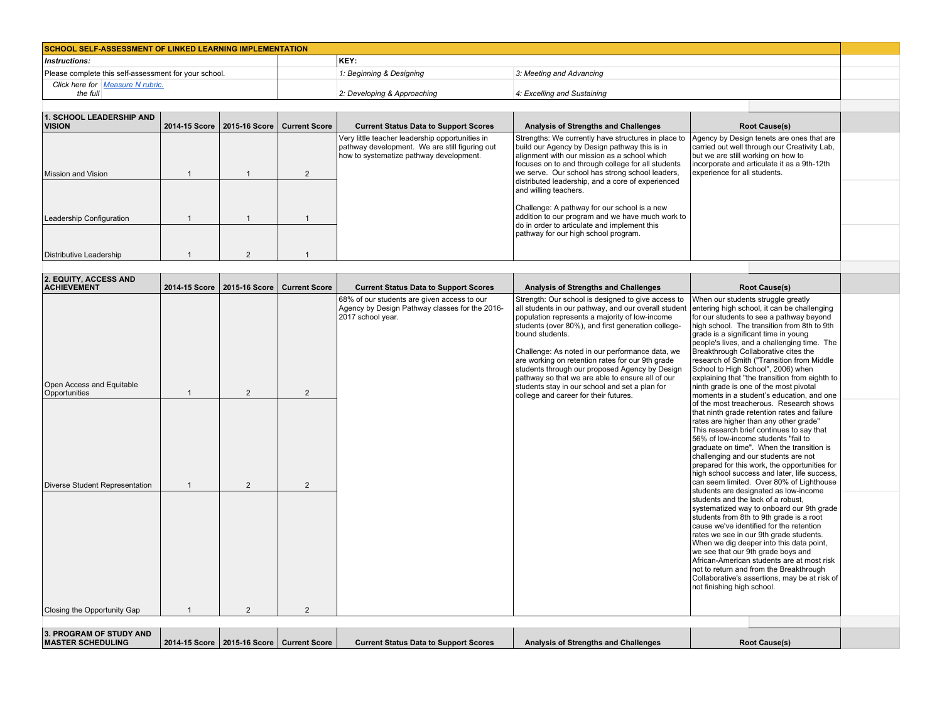| <b>SCHOOL SELF-ASSESSMENT OF LINKED LEARNING IMPLEMENTATION</b> |  |                             |                             |  |  |  |
|-----------------------------------------------------------------|--|-----------------------------|-----------------------------|--|--|--|
| KEY:<br><i>Instructions:</i>                                    |  |                             |                             |  |  |  |
| Please complete this self-assessment for your school.           |  | 1: Beginning & Designing    | 3: Meeting and Advancing    |  |  |  |
| Click here for Measure N rubric.<br>the full                    |  | 2: Developing & Approaching | 4: Excelling and Sustaining |  |  |  |
|                                                                 |  |                             |                             |  |  |  |

| <b>1. SCHOOL LEADERSHIP AND</b><br><b>VISION</b> | 2014-15 Score   2015-16 Score   Current Score | <b>Current Status Data to Support Scores</b>                                                                                                 | Analysis of Strengths and Challenges                                                                                                                                                                       | <b>Root Cause(s)</b>                                                                                                                                                           |  |
|--------------------------------------------------|-----------------------------------------------|----------------------------------------------------------------------------------------------------------------------------------------------|------------------------------------------------------------------------------------------------------------------------------------------------------------------------------------------------------------|--------------------------------------------------------------------------------------------------------------------------------------------------------------------------------|--|
|                                                  |                                               | Very little teacher leadership opportunities in<br>pathway development. We are still figuring out<br>how to systematize pathway development. | Strengths: We currently have structures in place to<br>build our Agency by Design pathway this is in<br>alignment with our mission as a school which<br>focuses on to and through college for all students | Agency by Design tenets are ones that are<br>carried out well through our Creativity Lab.<br>but we are still working on how to<br>incorporate and articulate it as a 9th-12th |  |
| Mission and Vision                               |                                               |                                                                                                                                              | we serve. Our school has strong school leaders,<br>distributed leadership, and a core of experienced                                                                                                       | experience for all students.                                                                                                                                                   |  |
|                                                  |                                               |                                                                                                                                              | and willing teachers.                                                                                                                                                                                      |                                                                                                                                                                                |  |
| Leadership Configuration                         |                                               |                                                                                                                                              | Challenge: A pathway for our school is a new<br>addition to our program and we have much work to<br>do in order to articulate and implement this                                                           |                                                                                                                                                                                |  |
|                                                  |                                               |                                                                                                                                              | pathway for our high school program.                                                                                                                                                                       |                                                                                                                                                                                |  |
| Distributive Leadership                          |                                               |                                                                                                                                              |                                                                                                                                                                                                            |                                                                                                                                                                                |  |
|                                                  |                                               |                                                                                                                                              |                                                                                                                                                                                                            |                                                                                                                                                                                |  |

| 2. EQUITY, ACCESS AND<br><b>ACHIEVEMENT</b>                                  | 2014-15 Score   2015-16 Score                 | <b>Current Score</b> | <b>Current Status Data to Support Scores</b>                                                                       | Analysis of Strengths and Challenges                                                                                                                                                                                                                                                                                                                                                                                                                                                                                                          | <b>Root Cause(s)</b>                                                                                                                                                                                                                                                                                                                                                                                                                                                                                                                                                                                                                                                                                                                                                                                                                                                                                                                                                                                                                                                                                                                                                        |  |
|------------------------------------------------------------------------------|-----------------------------------------------|----------------------|--------------------------------------------------------------------------------------------------------------------|-----------------------------------------------------------------------------------------------------------------------------------------------------------------------------------------------------------------------------------------------------------------------------------------------------------------------------------------------------------------------------------------------------------------------------------------------------------------------------------------------------------------------------------------------|-----------------------------------------------------------------------------------------------------------------------------------------------------------------------------------------------------------------------------------------------------------------------------------------------------------------------------------------------------------------------------------------------------------------------------------------------------------------------------------------------------------------------------------------------------------------------------------------------------------------------------------------------------------------------------------------------------------------------------------------------------------------------------------------------------------------------------------------------------------------------------------------------------------------------------------------------------------------------------------------------------------------------------------------------------------------------------------------------------------------------------------------------------------------------------|--|
| Open Access and Equitable<br>Opportunities<br>Diverse Student Representation | $\overline{2}$<br>$\overline{2}$              | 2<br>$\overline{2}$  | 68% of our students are given access to our<br>Agency by Design Pathway classes for the 2016-<br>2017 school year. | Strength: Our school is designed to give access to<br>all students in our pathway, and our overall student<br>population represents a majority of low-income<br>students (over 80%), and first generation college-<br>bound students.<br>Challenge: As noted in our performance data, we<br>are working on retention rates for our 9th grade<br>students through our proposed Agency by Design<br>pathway so that we are able to ensure all of our<br>students stay in our school and set a plan for<br>college and career for their futures. | When our students struggle greatly<br>entering high school, it can be challenging<br>for our students to see a pathway beyond<br>high school. The transition from 8th to 9th<br>grade is a significant time in young<br>people's lives, and a challenging time. The<br>Breakthrough Collaborative cites the<br>research of Smith ("Transition from Middle<br>School to High School", 2006) when<br>explaining that "the transition from eighth to<br>ninth grade is one of the most pivotal<br>moments in a student's education, and one<br>of the most treacherous. Research shows<br>that ninth grade retention rates and failure<br>rates are higher than any other grade"<br>This research brief continues to say that<br>56% of low-income students "fail to<br>graduate on time". When the transition is<br>challenging and our students are not<br>prepared for this work, the opportunities for<br>high school success and later, life success,<br>can seem limited. Over 80% of Lighthouse<br>students are designated as low-income<br>students and the lack of a robust,<br>systematized way to onboard our 9th grade<br>students from 8th to 9th grade is a root |  |
| Closing the Opportunity Gap                                                  | $\overline{2}$                                | 2                    |                                                                                                                    |                                                                                                                                                                                                                                                                                                                                                                                                                                                                                                                                               | cause we've identified for the retention<br>rates we see in our 9th grade students.<br>When we dig deeper into this data point,<br>we see that our 9th grade boys and<br>African-American students are at most risk<br>not to return and from the Breakthrough<br>Collaborative's assertions, may be at risk of<br>not finishing high school.                                                                                                                                                                                                                                                                                                                                                                                                                                                                                                                                                                                                                                                                                                                                                                                                                               |  |
| 3. PROGRAM OF STUDY AND<br><b>MASTER SCHEDULING</b>                          | 2014-15 Score   2015-16 Score   Current Score |                      | <b>Current Status Data to Support Scores</b>                                                                       | Analysis of Strengths and Challenges                                                                                                                                                                                                                                                                                                                                                                                                                                                                                                          | <b>Root Cause(s)</b>                                                                                                                                                                                                                                                                                                                                                                                                                                                                                                                                                                                                                                                                                                                                                                                                                                                                                                                                                                                                                                                                                                                                                        |  |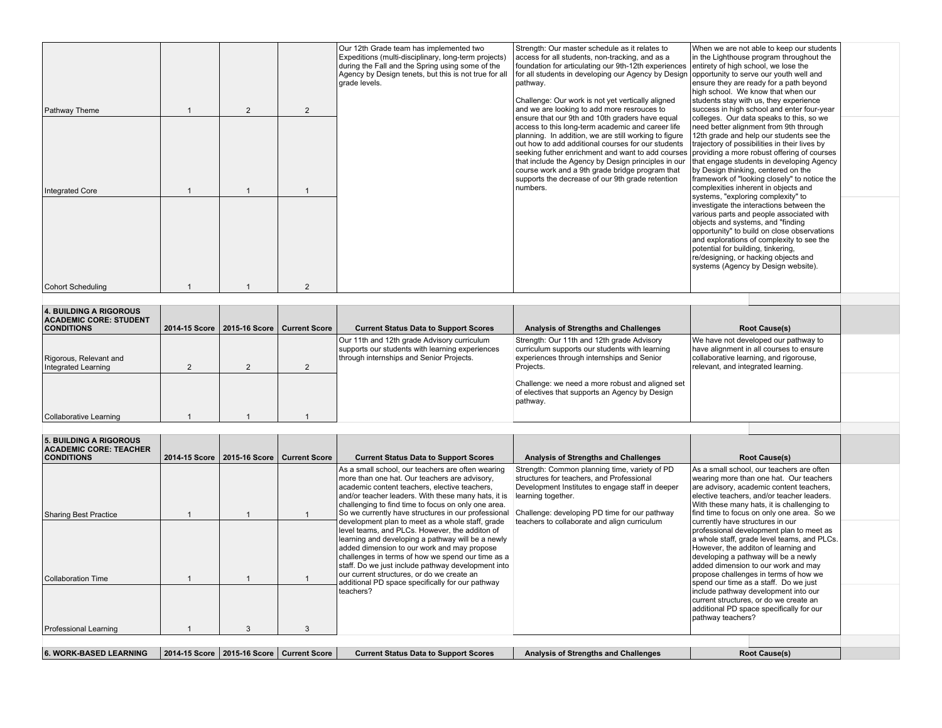| Pathway Theme                 | $\overline{2}$ | $\overline{2}$ | Our 12th Grade team has implemented two<br>Expeditions (multi-disciplinary, long-term projects)<br>during the Fall and the Spring using some of the<br>Agency by Design tenets, but this is not true for all<br>arade levels. | Strength: Our master schedule as it relates to<br>access for all students, non-tracking, and as a<br>foundation for articulating our 9th-12th experiences entirety of high school, we lose the<br>for all students in developing our Agency by Design   opportunity to serve our youth well and<br>pathway.<br>Challenge: Our work is not yet vertically aligned<br>and we are looking to add more resrouces to                                                                                 | When we are not able to keep our students<br>in the Lighthouse program throughout the<br>ensure they are ready for a path beyond<br>high school. We know that when our<br>students stay with us, they experience<br>success in high school and enter four-year                                                                                                                   |  |
|-------------------------------|----------------|----------------|-------------------------------------------------------------------------------------------------------------------------------------------------------------------------------------------------------------------------------|-------------------------------------------------------------------------------------------------------------------------------------------------------------------------------------------------------------------------------------------------------------------------------------------------------------------------------------------------------------------------------------------------------------------------------------------------------------------------------------------------|----------------------------------------------------------------------------------------------------------------------------------------------------------------------------------------------------------------------------------------------------------------------------------------------------------------------------------------------------------------------------------|--|
| Integrated Core               |                |                |                                                                                                                                                                                                                               | ensure that our 9th and 10th graders have equal<br>access to this long-term academic and career life<br>planning. In addition, we are still working to figure<br>out how to add additional courses for our students<br>seeking futher enrichment and want to add courses providing a more robust offering of courses<br>that include the Agency by Design principles in our<br>course work and a 9th grade bridge program that<br>supports the decrease of our 9th grade retention<br>Inumbers. | colleges. Our data speaks to this, so we<br>need better alignment from 9th through<br>12th grade and help our students see the<br>trajectory of possibilities in their lives by<br>that engage students in developing Agency<br>by Design thinking, centered on the<br>framework of "looking closely" to notice the<br>complexities inherent in objects and                      |  |
| Cohort Scheduling             |                | $\overline{2}$ |                                                                                                                                                                                                                               |                                                                                                                                                                                                                                                                                                                                                                                                                                                                                                 | systems, "exploring complexity" to<br>investigate the interactions between the<br>various parts and people associated with<br>objects and systems, and "finding<br>opportunity" to build on close observations<br>and explorations of complexity to see the<br>potential for building, tinkering,<br>re/designing, or hacking objects and<br>systems (Agency by Design website). |  |
|                               |                |                |                                                                                                                                                                                                                               |                                                                                                                                                                                                                                                                                                                                                                                                                                                                                                 |                                                                                                                                                                                                                                                                                                                                                                                  |  |
| 4. BUILDING A RIGOROUS        |                |                |                                                                                                                                                                                                                               |                                                                                                                                                                                                                                                                                                                                                                                                                                                                                                 |                                                                                                                                                                                                                                                                                                                                                                                  |  |
| <b>ACADEMIC CORE: STUDENT</b> |                |                |                                                                                                                                                                                                                               |                                                                                                                                                                                                                                                                                                                                                                                                                                                                                                 |                                                                                                                                                                                                                                                                                                                                                                                  |  |

| <b>ACADEMIC CORE: STUDENT</b><br><b>CONDITIONS</b> | 2014-15 Score   2015-16 Score   Current Score | <b>Current Status Data to Support Scores</b>                                                                                               | Analysis of Strengths and Challenges                                                                                                                    | <b>Root Cause(s)</b>                                                                                                                                            |  |
|----------------------------------------------------|-----------------------------------------------|--------------------------------------------------------------------------------------------------------------------------------------------|---------------------------------------------------------------------------------------------------------------------------------------------------------|-----------------------------------------------------------------------------------------------------------------------------------------------------------------|--|
| Rigorous, Relevant and<br>Integrated Learning      |                                               | Our 11th and 12th grade Advisory curriculum<br>supports our students with learning experiences<br>through internships and Senior Projects. | Strength: Our 11th and 12th grade Advisory<br>curriculum supports our students with learning<br>experiences through internships and Senior<br>Projects. | We have not developed our pathway to<br>have alignment in all courses to ensure<br>collaborative learning, and rigorouse,<br>relevant, and integrated learning. |  |
|                                                    |                                               |                                                                                                                                            | Challenge: we need a more robust and aligned set<br>of electives that supports an Agency by Design<br>pathway.                                          |                                                                                                                                                                 |  |
| Collaborative Learning                             |                                               |                                                                                                                                            |                                                                                                                                                         |                                                                                                                                                                 |  |
|                                                    |                                               |                                                                                                                                            |                                                                                                                                                         |                                                                                                                                                                 |  |

| <b>5. BUILDING A RIGOROUS</b><br><b>ACADEMIC CORE: TEACHER</b><br><b>CONDITIONS</b> | 2014-15 Score   2015-16 Score   Current Score | <b>Current Status Data to Support Scores</b>                                                                                                                                                                                                                                                                                                                                 | <b>Analysis of Strengths and Challenges</b>                                                                                                                                                                                                                           |                                  | <b>Root Cause(s)</b>                                                                                                                                                                                                                                                                             |
|-------------------------------------------------------------------------------------|-----------------------------------------------|------------------------------------------------------------------------------------------------------------------------------------------------------------------------------------------------------------------------------------------------------------------------------------------------------------------------------------------------------------------------------|-----------------------------------------------------------------------------------------------------------------------------------------------------------------------------------------------------------------------------------------------------------------------|----------------------------------|--------------------------------------------------------------------------------------------------------------------------------------------------------------------------------------------------------------------------------------------------------------------------------------------------|
| Sharing Best Practice                                                               |                                               | As a small school, our teachers are often wearing<br>more than one hat. Our teachers are advisory,<br>academic content teachers, elective teachers,<br>and/or teacher leaders. With these many hats, it is<br>challenging to find time to focus on only one area.<br>So we currently have structures in our professional<br>development plan to meet as a whole staff, grade | Strength: Common planning time, variety of PD<br>structures for teachers, and Professional<br>Development Institutes to engage staff in deeper<br>learning together.<br>Challenge: developing PD time for our pathway<br>teachers to collaborate and align curriculum | currently have structures in our | As a small school, our teachers are often<br>wearing more than one hat. Our teachers<br>are advisory, academic content teachers,<br>elective teachers, and/or teacher leaders.<br>With these many hats, it is challenging to<br>find time to focus on only one area. So we                       |
| <b>Collaboration Time</b>                                                           |                                               | level teams, and PLCs. However, the additon of<br>learning and developing a pathway will be a newly<br>added dimension to our work and may propose<br>challenges in terms of how we spend our time as a<br>staff. Do we just include pathway development into<br>our current structures, or do we create an<br>additional PD space specifically for our pathway              |                                                                                                                                                                                                                                                                       |                                  | professional development plan to meet as<br>a whole staff, grade level teams, and PLCs.<br>However, the additon of learning and<br>developing a pathway will be a newly<br>added dimension to our work and may<br>propose challenges in terms of how we<br>spend our time as a staff. Do we just |
| Professional Learning                                                               |                                               | teachers?                                                                                                                                                                                                                                                                                                                                                                    |                                                                                                                                                                                                                                                                       | pathway teachers?                | include pathway development into our<br>current structures, or do we create an<br>additional PD space specifically for our                                                                                                                                                                       |
| <b>6. WORK-BASED LEARNING</b>                                                       | 2014-15 Score   2015-16 Score   Current Score | <b>Current Status Data to Support Scores</b>                                                                                                                                                                                                                                                                                                                                 | <b>Analysis of Strengths and Challenges</b>                                                                                                                                                                                                                           |                                  | <b>Root Cause(s)</b>                                                                                                                                                                                                                                                                             |